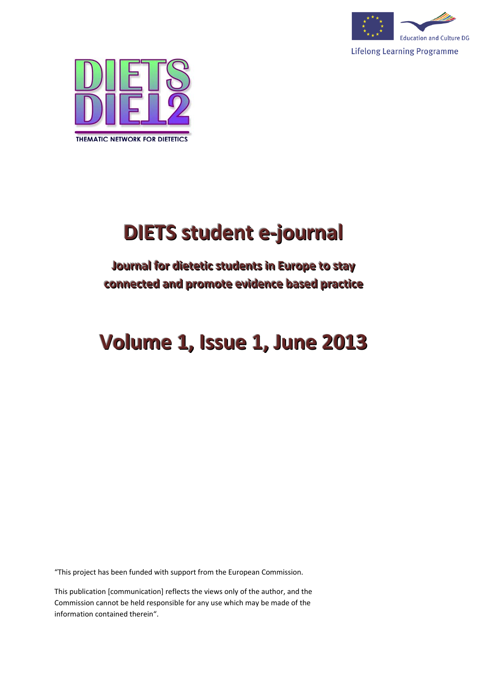



# **DIETS student e-journal**

# **Journal for dietetic students in Europe to stay** connected and promote evidence based practice

# **Volume 1, Issue 1, June 2013**

"This project has been funded with support from the European Commission.

This publication [communication] reflects the views only of the author, and the Commission cannot be held responsible for any use which may be made of the information contained therein".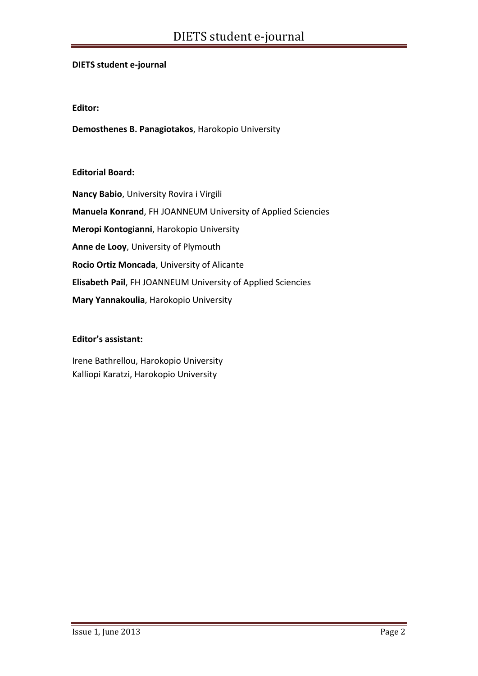#### **DIETS student e‐journal**

#### **Editor:**

**Demosthenes B. Panagiotakos**, Harokopio University

#### **Editorial Board:**

**Nancy Babio**, University Rovira i Virgili **Manuela Konrand**, FH JOANNEUM University of Applied Sciencies **Meropi Kontogianni**, Harokopio University **Anne de Looy**, University of Plymouth **Rocio Ortiz Moncada**, University of Alicante **Elisabeth Pail**, FH JOANNEUM University of Applied Sciencies **Mary Yannakoulia**, Harokopio University

#### **Editor's assistant:**

Irene Bathrellou, Harokopio University Kalliopi Karatzi, Harokopio University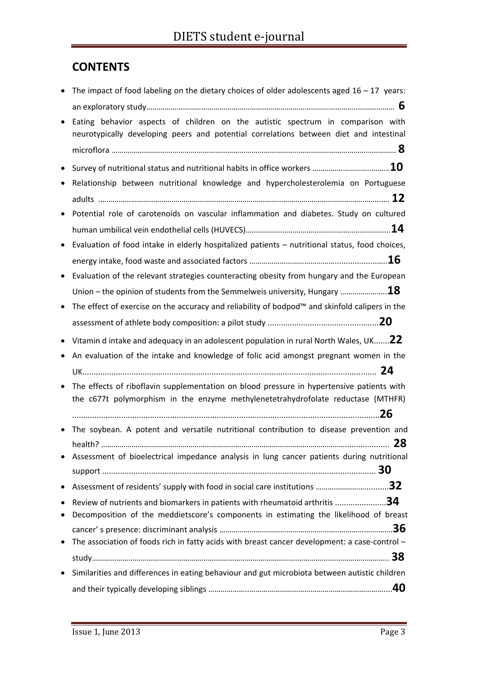# **CONTENTS**

| The impact of food labeling on the dietary choices of older adolescents aged $16 - 17$ years:<br>$\bullet$                                                                             |  |
|----------------------------------------------------------------------------------------------------------------------------------------------------------------------------------------|--|
|                                                                                                                                                                                        |  |
| Eating behavior aspects of children on the autistic spectrum in comparison with<br>$\bullet$<br>neurotypically developing peers and potential correlations between diet and intestinal |  |
|                                                                                                                                                                                        |  |
| $\bullet$                                                                                                                                                                              |  |
| Relationship between nutritional knowledge and hypercholesterolemia on Portuguese                                                                                                      |  |
|                                                                                                                                                                                        |  |
| Potential role of carotenoids on vascular inflammation and diabetes. Study on cultured<br>$\bullet$                                                                                    |  |
|                                                                                                                                                                                        |  |
| Evaluation of food intake in elderly hospitalized patients - nutritional status, food choices,<br>$\bullet$                                                                            |  |
|                                                                                                                                                                                        |  |
| Evaluation of the relevant strategies counteracting obesity from hungary and the European<br>$\bullet$                                                                                 |  |
|                                                                                                                                                                                        |  |
| The effect of exercise on the accuracy and reliability of bodpod <sup>™</sup> and skinfold calipers in the<br>$\bullet$                                                                |  |
|                                                                                                                                                                                        |  |
| Vitamin d intake and adequacy in an adolescent population in rural North Wales, UK 22<br>$\bullet$                                                                                     |  |
| An evaluation of the intake and knowledge of folic acid amongst pregnant women in the<br>٠                                                                                             |  |
|                                                                                                                                                                                        |  |
| The effects of riboflavin supplementation on blood pressure in hypertensive patients with<br>$\bullet$                                                                                 |  |
| the c677t polymorphism in the enzyme methylenetetrahydrofolate reductase (MTHFR)                                                                                                       |  |
|                                                                                                                                                                                        |  |
| The soybean. A potent and versatile nutritional contribution to disease prevention and<br>$\bullet$                                                                                    |  |
|                                                                                                                                                                                        |  |
| Assessment of bioelectrical impedance analysis in lung cancer patients during nutritional                                                                                              |  |
|                                                                                                                                                                                        |  |
| $\bullet$<br>٠                                                                                                                                                                         |  |
| Review of nutrients and biomarkers in patients with rheumatoid arthritis 34<br>Decomposition of the meddietscore's components in estimating the likelihood of breast<br>٠              |  |
|                                                                                                                                                                                        |  |
| The association of foods rich in fatty acids with breast cancer development: a case-control -<br>$\bullet$                                                                             |  |
|                                                                                                                                                                                        |  |
| Similarities and differences in eating behaviour and gut microbiota between autistic children<br>$\bullet$                                                                             |  |
|                                                                                                                                                                                        |  |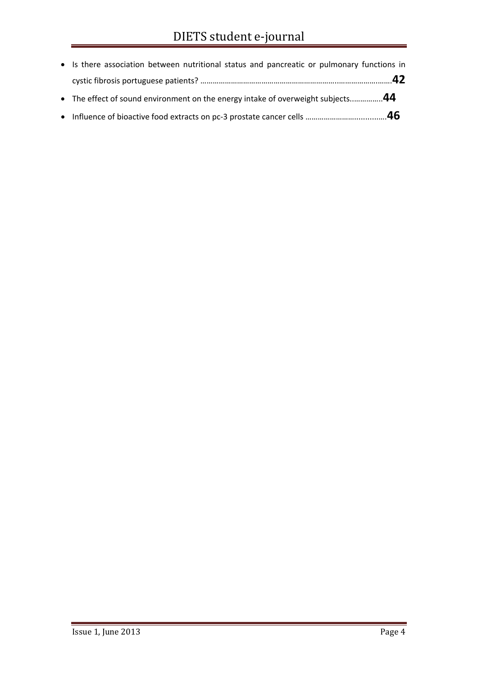| • Is there association between nutritional status and pancreatic or pulmonary functions in |
|--------------------------------------------------------------------------------------------|
|                                                                                            |
| • The effect of sound environment on the energy intake of overweight subjects44            |
|                                                                                            |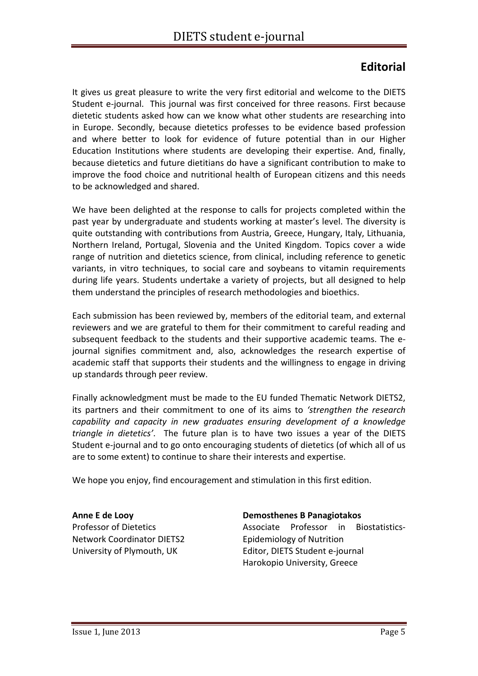# **Editorial**

It gives us great pleasure to write the very first editorial and welcome to the DIETS Student e‐journal. This journal was first conceived for three reasons. First because dietetic students asked how can we know what other students are researching into in Europe. Secondly, because dietetics professes to be evidence based profession and where better to look for evidence of future potential than in our Higher Education Institutions where students are developing their expertise. And, finally, because dietetics and future dietitians do have a significant contribution to make to improve the food choice and nutritional health of European citizens and this needs to be acknowledged and shared.

We have been delighted at the response to calls for projects completed within the past year by undergraduate and students working at master's level. The diversity is quite outstanding with contributions from Austria, Greece, Hungary, Italy, Lithuania, Northern Ireland, Portugal, Slovenia and the United Kingdom. Topics cover a wide range of nutrition and dietetics science, from clinical, including reference to genetic variants, in vitro techniques, to social care and soybeans to vitamin requirements during life years. Students undertake a variety of projects, but all designed to help them understand the principles of research methodologies and bioethics.

Each submission has been reviewed by, members of the editorial team, and external reviewers and we are grateful to them for their commitment to careful reading and subsequent feedback to the students and their supportive academic teams. The e‐ journal signifies commitment and, also, acknowledges the research expertise of academic staff that supports their students and the willingness to engage in driving up standards through peer review.

Finally acknowledgment must be made to the EU funded Thematic Network DIETS2, its partners and their commitment to one of its aims to *'strengthen the research capability and capacity in new graduates ensuring development of a knowledge triangle in dietetics'*. The future plan is to have two issues a year of the DIETS Student e‐journal and to go onto encouraging students of dietetics (of which all of us are to some extent) to continue to share their interests and expertise.

We hope you enjoy, find encouragement and stimulation in this first edition.

**Anne E de Looy** Professor of Dietetics Network Coordinator DIETS2 University of Plymouth, UK

**Demosthenes B Panagiotakos**

Associate Professor in Biostatistics‐ Epidemiology of Nutrition Editor, DIETS Student e‐journal Harokopio University, Greece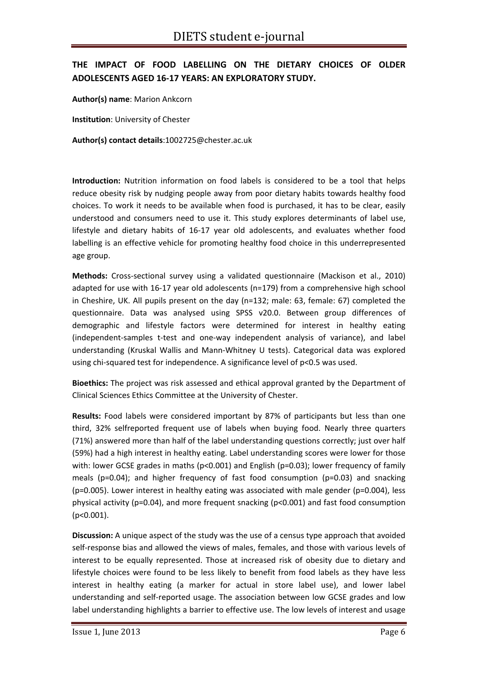# **THE IMPACT OF FOOD LABELLING ON THE DIETARY CHOICES OF OLDER ADOLESCENTS AGED 16‐17 YEARS: AN EXPLORATORY STUDY.**

**Author(s) name**: Marion Ankcorn

**Institution**: University of Chester

**Author(s) contact details**:1002725@chester.ac.uk

**Introduction:** Nutrition information on food labels is considered to be a tool that helps reduce obesity risk by nudging people away from poor dietary habits towards healthy food choices. To work it needs to be available when food is purchased, it has to be clear, easily understood and consumers need to use it. This study explores determinants of label use, lifestyle and dietary habits of 16‐17 year old adolescents, and evaluates whether food labelling is an effective vehicle for promoting healthy food choice in this underrepresented age group.

Methods: Cross-sectional survey using a validated questionnaire (Mackison et al., 2010) adapted for use with 16‐17 year old adolescents (n=179) from a comprehensive high school in Cheshire, UK. All pupils present on the day (n=132; male: 63, female: 67) completed the questionnaire. Data was analysed using SPSS v20.0. Between group differences of demographic and lifestyle factors were determined for interest in healthy eating (independent‐samples t‐test and one‐way independent analysis of variance), and label understanding (Kruskal Wallis and Mann-Whitney U tests). Categorical data was explored using chi-squared test for independence. A significance level of p<0.5 was used.

**Bioethics:** The project was risk assessed and ethical approval granted by the Department of Clinical Sciences Ethics Committee at the University of Chester.

**Results:** Food labels were considered important by 87% of participants but less than one third, 32% selfreported frequent use of labels when buying food. Nearly three quarters (71%) answered more than half of the label understanding questions correctly; just over half (59%) had a high interest in healthy eating. Label understanding scores were lower for those with: lower GCSE grades in maths (p<0.001) and English (p=0.03); lower frequency of family meals (p=0.04); and higher frequency of fast food consumption (p=0.03) and snacking (p=0.005). Lower interest in healthy eating was associated with male gender (p=0.004), less physical activity (p=0.04), and more frequent snacking (p<0.001) and fast food consumption (p<0.001).

**Discussion:** A unique aspect of the study was the use of a census type approach that avoided self-response bias and allowed the views of males, females, and those with various levels of interest to be equally represented. Those at increased risk of obesity due to dietary and lifestyle choices were found to be less likely to benefit from food labels as they have less interest in healthy eating (a marker for actual in store label use), and lower label understanding and self‐reported usage. The association between low GCSE grades and low label understanding highlights a barrier to effective use. The low levels of interest and usage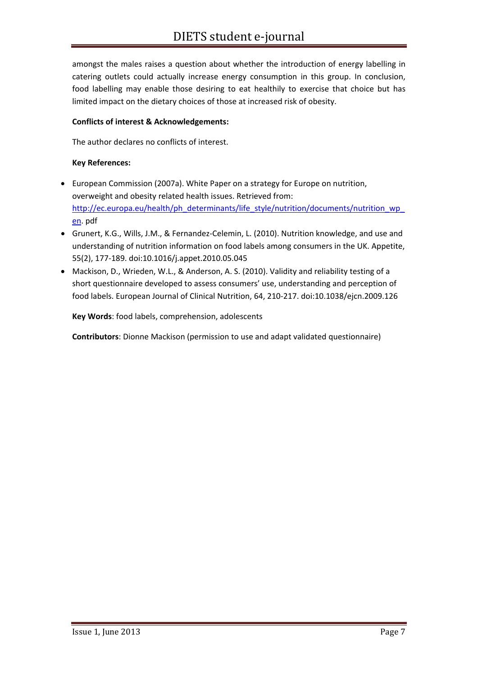amongst the males raises a question about whether the introduction of energy labelling in catering outlets could actually increase energy consumption in this group. In conclusion, food labelling may enable those desiring to eat healthily to exercise that choice but has limited impact on the dietary choices of those at increased risk of obesity.

#### **Conflicts of interest & Acknowledgements:**

The author declares no conflicts of interest.

#### **Key References:**

- European Commission (2007a). White Paper on a strategy for Europe on nutrition, overweight and obesity related health issues. Retrieved from: http://ec.europa.eu/health/ph\_determinants/life\_style/nutrition/documents/nutrition\_wp en. pdf
- Grunert, K.G., Wills, J.M., & Fernandez‐Celemin, L. (2010). Nutrition knowledge, and use and understanding of nutrition information on food labels among consumers in the UK. Appetite, 55(2), 177‐189. doi:10.1016/j.appet.2010.05.045
- Mackison, D., Wrieden, W.L., & Anderson, A. S. (2010). Validity and reliability testing of a short questionnaire developed to assess consumers' use, understanding and perception of food labels. European Journal of Clinical Nutrition, 64, 210‐217. doi:10.1038/ejcn.2009.126

**Key Words**: food labels, comprehension, adolescents

**Contributors**: Dionne Mackison (permission to use and adapt validated questionnaire)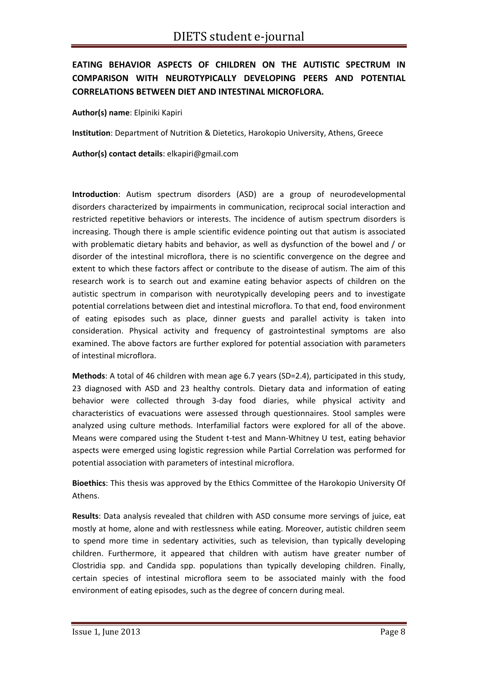# **EATING BEHAVIOR ASPECTS OF CHILDREN ON THE AUTISTIC SPECTRUM IN COMPARISON WITH NEUROTYPICALLY DEVELOPING PEERS AND POTENTIAL CORRELATIONS BETWEEN DIET AND INTESTINAL MICROFLORA.**

**Author(s) name**: Elpiniki Kapiri

**Institution**: Department of Nutrition & Dietetics, Harokopio University, Athens, Greece

**Author(s) contact details**: elkapiri@gmail.com

**Introduction**: Autism spectrum disorders (ASD) are a group of neurodevelopmental disorders characterized by impairments in communication, reciprocal social interaction and restricted repetitive behaviors or interests. The incidence of autism spectrum disorders is increasing. Though there is ample scientific evidence pointing out that autism is associated with problematic dietary habits and behavior, as well as dysfunction of the bowel and / or disorder of the intestinal microflora, there is no scientific convergence on the degree and extent to which these factors affect or contribute to the disease of autism. The aim of this research work is to search out and examine eating behavior aspects of children on the autistic spectrum in comparison with neurotypically developing peers and to investigate potential correlations between diet and intestinal microflora. To that end, food environment of eating episodes such as place, dinner guests and parallel activity is taken into consideration. Physical activity and frequency of gastrointestinal symptoms are also examined. The above factors are further explored for potential association with parameters of intestinal microflora.

**Methods**: A total of 46 children with mean age 6.7 years (SD=2.4), participated in this study, 23 diagnosed with ASD and 23 healthy controls. Dietary data and information of eating behavior were collected through 3‐day food diaries, while physical activity and characteristics of evacuations were assessed through questionnaires. Stool samples were analyzed using culture methods. Interfamilial factors were explored for all of the above. Means were compared using the Student t-test and Mann-Whitney U test, eating behavior aspects were emerged using logistic regression while Partial Correlation was performed for potential association with parameters of intestinal microflora.

**Bioethics**: This thesis was approved by the Ethics Committee of the Harokopio University Of Athens.

**Results**: Data analysis revealed that children with ASD consume more servings of juice, eat mostly at home, alone and with restlessness while eating. Moreover, autistic children seem to spend more time in sedentary activities, such as television, than typically developing children. Furthermore, it appeared that children with autism have greater number of Clostridia spp. and Candida spp. populations than typically developing children. Finally, certain species of intestinal microflora seem to be associated mainly with the food environment of eating episodes, such as the degree of concern during meal.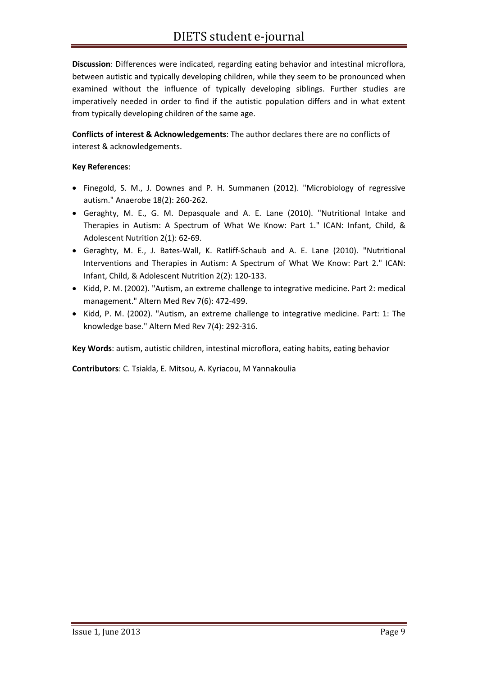**Discussion**: Differences were indicated, regarding eating behavior and intestinal microflora, between autistic and typically developing children, while they seem to be pronounced when examined without the influence of typically developing siblings. Further studies are imperatively needed in order to find if the autistic population differs and in what extent from typically developing children of the same age.

**Conflicts of interest & Acknowledgements**: The author declares there are no conflicts of interest & acknowledgements.

#### **Key References**:

- Finegold, S. M., J. Downes and P. H. Summanen (2012). "Microbiology of regressive autism." Anaerobe 18(2): 260‐262.
- Geraghty, M. E., G. M. Depasquale and A. E. Lane (2010). "Nutritional Intake and Therapies in Autism: A Spectrum of What We Know: Part 1." ICAN: Infant, Child, & Adolescent Nutrition 2(1): 62‐69.
- Geraghty, M. E., J. Bates‐Wall, K. Ratliff‐Schaub and A. E. Lane (2010). "Nutritional Interventions and Therapies in Autism: A Spectrum of What We Know: Part 2." ICAN: Infant, Child, & Adolescent Nutrition 2(2): 120‐133.
- Kidd, P. M. (2002). "Autism, an extreme challenge to integrative medicine. Part 2: medical management." Altern Med Rev 7(6): 472‐499.
- Kidd, P. M. (2002). "Autism, an extreme challenge to integrative medicine. Part: 1: The knowledge base." Altern Med Rev 7(4): 292‐316.

**Key Words**: autism, autistic children, intestinal microflora, eating habits, eating behavior

**Contributors**: C. Tsiakla, E. Mitsou, A. Kyriacou, M Yannakoulia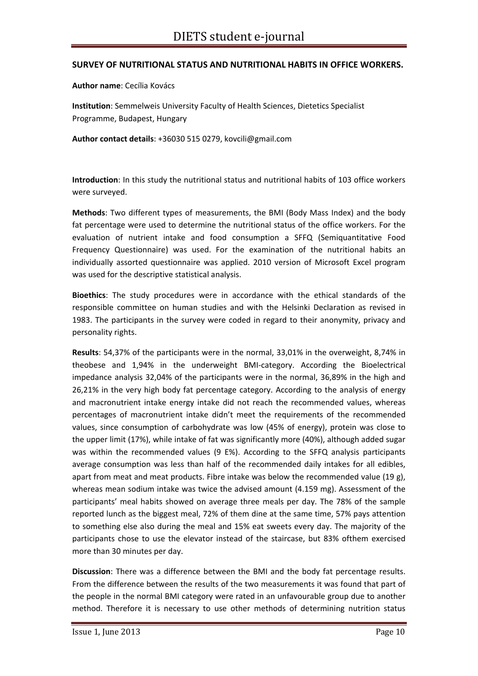#### **SURVEY OF NUTRITIONAL STATUS AND NUTRITIONAL HABITS IN OFFICE WORKERS.**

**Author name**: Cecília Kovács

**Institution**: Semmelweis University Faculty of Health Sciences, Dietetics Specialist Programme, Budapest, Hungary

**Author contact details**: +36030 515 0279, kovcili@gmail.com

**Introduction**: In this study the nutritional status and nutritional habits of 103 office workers were surveyed.

**Methods**: Two different types of measurements, the BMI (Body Mass Index) and the body fat percentage were used to determine the nutritional status of the office workers. For the evaluation of nutrient intake and food consumption a SFFQ (Semiquantitative Food Frequency Questionnaire) was used. For the examination of the nutritional habits an individually assorted questionnaire was applied. 2010 version of Microsoft Excel program was used for the descriptive statistical analysis.

**Bioethics**: The study procedures were in accordance with the ethical standards of the responsible committee on human studies and with the Helsinki Declaration as revised in 1983. The participants in the survey were coded in regard to their anonymity, privacy and personality rights.

**Results**: 54,37% of the participants were in the normal, 33,01% in the overweight, 8,74% in theobese and 1,94% in the underweight BMI‐category. According the Bioelectrical impedance analysis 32,04% of the participants were in the normal, 36,89% in the high and 26,21% in the very high body fat percentage category. According to the analysis of energy and macronutrient intake energy intake did not reach the recommended values, whereas percentages of macronutrient intake didn't meet the requirements of the recommended values, since consumption of carbohydrate was low (45% of energy), protein was close to the upper limit (17%), while intake of fat was significantly more (40%), although added sugar was within the recommended values (9 E%). According to the SFFQ analysis participants average consumption was less than half of the recommended daily intakes for all edibles, apart from meat and meat products. Fibre intake was below the recommended value (19 g), whereas mean sodium intake was twice the advised amount (4.159 mg). Assessment of the participants' meal habits showed on average three meals per day. The 78% of the sample reported lunch as the biggest meal, 72% of them dine at the same time, 57% pays attention to something else also during the meal and 15% eat sweets every day. The majority of the participants chose to use the elevator instead of the staircase, but 83% ofthem exercised more than 30 minutes per day.

**Discussion**: There was a difference between the BMI and the body fat percentage results. From the difference between the results of the two measurements it was found that part of the people in the normal BMI category were rated in an unfavourable group due to another method. Therefore it is necessary to use other methods of determining nutrition status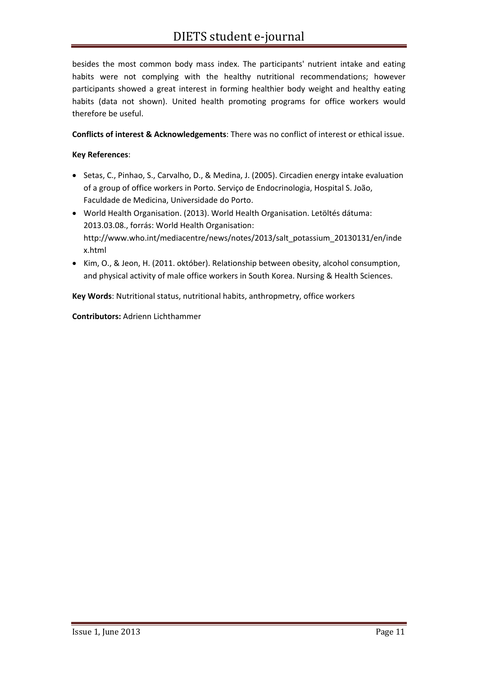besides the most common body mass index. The participants' nutrient intake and eating habits were not complying with the healthy nutritional recommendations; however participants showed a great interest in forming healthier body weight and healthy eating habits (data not shown). United health promoting programs for office workers would therefore be useful.

#### **Conflicts of interest & Acknowledgements**: There was no conflict of interest or ethical issue.

#### **Key References**:

- Setas, C., Pinhao, S., Carvalho, D., & Medina, J. (2005). Circadien energy intake evaluation of a group of office workers in Porto. Serviço de Endocrinologia, Hospital S. João, Faculdade de Medicina, Universidade do Porto.
- World Health Organisation. (2013). World Health Organisation. Letöltés dátuma: 2013.03.08., forrás: World Health Organisation: http://www.who.int/mediacentre/news/notes/2013/salt\_potassium\_20130131/en/inde x.html
- Kim, O., & Jeon, H. (2011. október). Relationship between obesity, alcohol consumption, and physical activity of male office workers in South Korea. Nursing & Health Sciences.

**Key Words**: Nutritional status, nutritional habits, anthropmetry, office workers

**Contributors:** Adrienn Lichthammer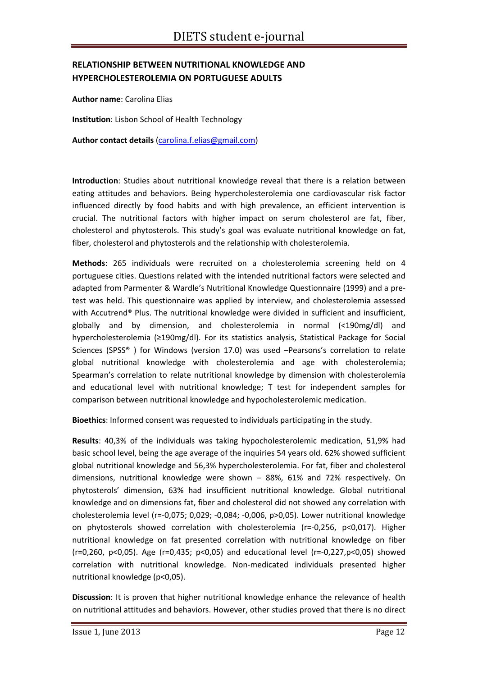# **RELATIONSHIP BETWEEN NUTRITIONAL KNOWLEDGE AND HYPERCHOLESTEROLEMIA ON PORTUGUESE ADULTS**

**Author name**: Carolina Elias

**Institution**: Lisbon School of Health Technology

**Author contact details** (carolina.f.elias@gmail.com)

**Introduction**: Studies about nutritional knowledge reveal that there is a relation between eating attitudes and behaviors. Being hypercholesterolemia one cardiovascular risk factor influenced directly by food habits and with high prevalence, an efficient intervention is crucial. The nutritional factors with higher impact on serum cholesterol are fat, fiber, cholesterol and phytosterols. This study's goal was evaluate nutritional knowledge on fat, fiber, cholesterol and phytosterols and the relationship with cholesterolemia.

**Methods**: 265 individuals were recruited on a cholesterolemia screening held on 4 portuguese cities. Questions related with the intended nutritional factors were selected and adapted from Parmenter & Wardle's Nutritional Knowledge Questionnaire (1999) and a pre‐ test was held. This questionnaire was applied by interview, and cholesterolemia assessed with Accutrend<sup>®</sup> Plus. The nutritional knowledge were divided in sufficient and insufficient, globally and by dimension, and cholesterolemia in normal (<190mg/dl) and hypercholesterolemia (≥190mg/dl). For its statistics analysis, Statistical Package for Social Sciences (SPSS® ) for Windows (version 17.0) was used –Pearsons's correlation to relate global nutritional knowledge with cholesterolemia and age with cholesterolemia; Spearman's correlation to relate nutritional knowledge by dimension with cholesterolemia and educational level with nutritional knowledge; T test for independent samples for comparison between nutritional knowledge and hypocholesterolemic medication.

**Bioethics**: Informed consent was requested to individuals participating in the study.

**Results**: 40,3% of the individuals was taking hypocholesterolemic medication, 51,9% had basic school level, being the age average of the inquiries 54 years old. 62% showed sufficient global nutritional knowledge and 56,3% hypercholesterolemia. For fat, fiber and cholesterol dimensions, nutritional knowledge were shown – 88%, 61% and 72% respectively. On phytosterols' dimension, 63% had insufficient nutritional knowledge. Global nutritional knowledge and on dimensions fat, fiber and cholesterol did not showed any correlation with cholesterolemia level (r=‐0,075; 0,029; ‐0,084; ‐0,006, p>0,05). Lower nutritional knowledge on phytosterols showed correlation with cholesterolemia (r=‐0,256, p<0,017). Higher nutritional knowledge on fat presented correlation with nutritional knowledge on fiber (r=0,260, p<0,05). Age (r=0,435; p<0,05) and educational level (r=‐0,227,p<0,05) showed correlation with nutritional knowledge. Non-medicated individuals presented higher nutritional knowledge (p<0,05).

**Discussion**: It is proven that higher nutritional knowledge enhance the relevance of health on nutritional attitudes and behaviors. However, other studies proved that there is no direct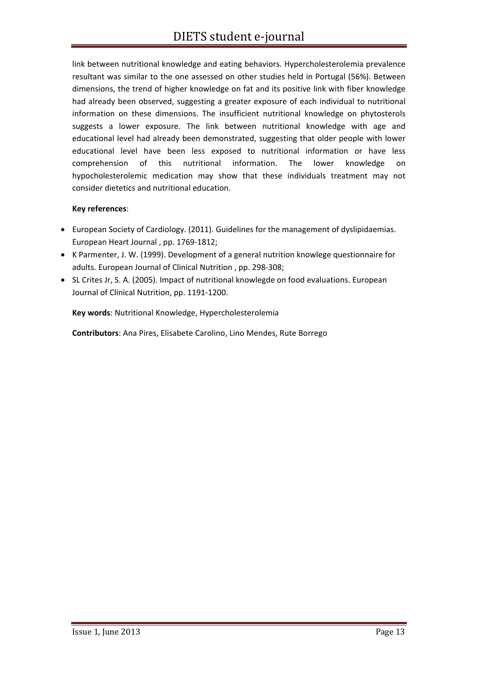link between nutritional knowledge and eating behaviors. Hypercholesterolemia prevalence resultant was similar to the one assessed on other studies held in Portugal (56%). Between dimensions, the trend of higher knowledge on fat and its positive link with fiber knowledge had already been observed, suggesting a greater exposure of each individual to nutritional information on these dimensions. The insufficient nutritional knowledge on phytosterols suggests a lower exposure. The link between nutritional knowledge with age and educational level had already been demonstrated, suggesting that older people with lower educational level have been less exposed to nutritional information or have less comprehension of this nutritional information. The lower knowledge on hypocholesterolemic medication may show that these individuals treatment may not consider dietetics and nutritional education.

#### **Key references**:

- European Society of Cardiology. (2011). Guidelines for the management of dyslipidaemias. European Heart Journal , pp. 1769‐1812;
- K Parmenter, J. W. (1999). Development of a general nutrition knowlege questionnaire for adults. European Journal of Clinical Nutrition , pp. 298‐308;
- SL Crites Jr, S. A. (2005). Impact of nutritional knowlegde on food evaluations. European Journal of Clinical Nutrition, pp. 1191‐1200.

**Key words**: Nutritional Knowledge, Hypercholesterolemia

**Contributors**: Ana Pires, Elisabete Carolino, Lino Mendes, Rute Borrego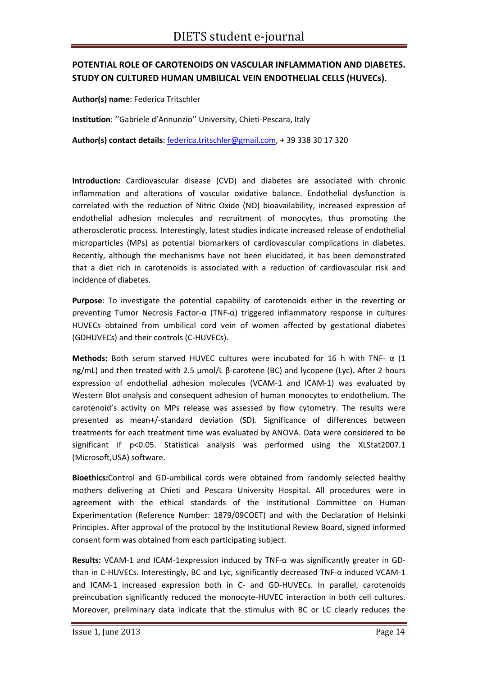# **POTENTIAL ROLE OF CAROTENOIDS ON VASCULAR INFLAMMATION AND DIABETES. STUDY ON CULTURED HUMAN UMBILICAL VEIN ENDOTHELIAL CELLS (HUVECs).**

**Author(s) name**: Federica Tritschler

**Institution**: ''Gabriele d'Annunzio'' University, Chieti‐Pescara, Italy

**Author(s) contact details**: federica.tritschler@gmail.com, + 39 338 30 17 320

**Introduction:** Cardiovascular disease (CVD) and diabetes are associated with chronic inflammation and alterations of vascular oxidative balance. Endothelial dysfunction is correlated with the reduction of Nitric Oxide (NO) bioavailability, increased expression of endothelial adhesion molecules and recruitment of monocytes, thus promoting the atherosclerotic process. Interestingly, latest studies indicate increased release of endothelial microparticles (MPs) as potential biomarkers of cardiovascular complications in diabetes. Recently, although the mechanisms have not been elucidated, it has been demonstrated that a diet rich in carotenoids is associated with a reduction of cardiovascular risk and incidence of diabetes.

**Purpose**: To investigate the potential capability of carotenoids either in the reverting or preventing Tumor Necrosis Factor-α (TNF- $α$ ) triggered inflammatory response in cultures HUVECs obtained from umbilical cord vein of women affected by gestational diabetes (GDHUVECs) and their controls (C‐HUVECs).

**Methods:** Both serum starved HUVEC cultures were incubated for 16 h with TNF- $\alpha$  (1 ng/mL) and then treated with 2.5 µmol/L β‐carotene (BC) and lycopene (Lyc). After 2 hours expression of endothelial adhesion molecules (VCAM‐1 and ICAM‐1) was evaluated by Western Blot analysis and consequent adhesion of human monocytes to endothelium. The carotenoid's activity on MPs release was assessed by flow cytometry. The results were presented as mean+/‐standard deviation (SD). Significance of differences between treatments for each treatment time was evaluated by ANOVA. Data were considered to be significant if p<0.05. Statistical analysis was performed using the XLStat2007.1 (Microsoft,USA) software.

**Bioethics:**Control and GD‐umbilical cords were obtained from randomly selected healthy mothers delivering at Chieti and Pescara University Hospital. All procedures were in agreement with the ethical standards of the Institutional Committee on Human Experimentation (Reference Number: 1879/09COET) and with the Declaration of Helsinki Principles. After approval of the protocol by the Institutional Review Board, signed informed consent form was obtained from each participating subject.

**Results:** VCAM‐1 and ICAM‐1expression induced by TNF‐α was significantly greater in GD‐ than in C-HUVECs. Interestingly, BC and Lyc, significantly decreased TNF-α induced VCAM-1 and ICAM-1 increased expression both in C- and GD-HUVECs. In parallel, carotenoids preincubation significantly reduced the monocyte-HUVEC interaction in both cell cultures. Moreover, preliminary data indicate that the stimulus with BC or LC clearly reduces the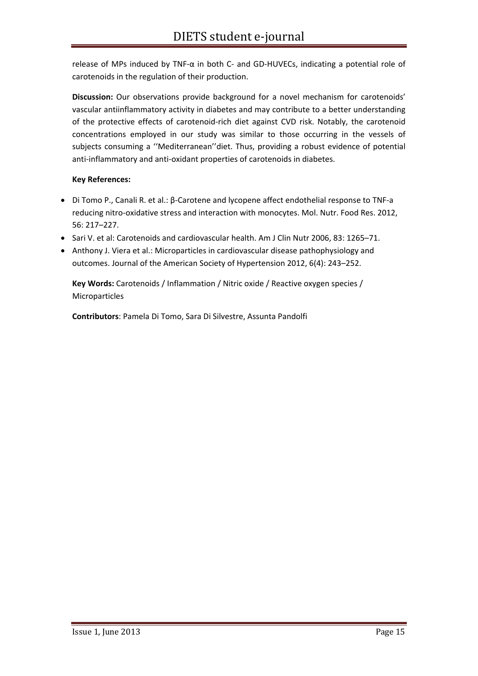release of MPs induced by TNF- $\alpha$  in both C- and GD-HUVECs, indicating a potential role of carotenoids in the regulation of their production.

**Discussion:** Our observations provide background for a novel mechanism for carotenoids' vascular antiinflammatory activity in diabetes and may contribute to a better understanding of the protective effects of carotenoid‐rich diet against CVD risk. Notably, the carotenoid concentrations employed in our study was similar to those occurring in the vessels of subjects consuming a ''Mediterranean''diet. Thus, providing a robust evidence of potential anti-inflammatory and anti-oxidant properties of carotenoids in diabetes.

#### **Key References:**

- Di Tomo P., Canali R. et al.: β‐Carotene and lycopene affect endothelial response to TNF‐a reducing nitro‐oxidative stress and interaction with monocytes. Mol. Nutr. Food Res. 2012, 56: 217–227.
- Sari V. et al: Carotenoids and cardiovascular health. Am J Clin Nutr 2006, 83: 1265–71.
- Anthony J. Viera et al.: Microparticles in cardiovascular disease pathophysiology and outcomes. Journal of the American Society of Hypertension 2012, 6(4): 243–252.

**Key Words:** Carotenoids / Inflammation / Nitric oxide / Reactive oxygen species / Microparticles

**Contributors**: Pamela Di Tomo, Sara Di Silvestre, Assunta Pandolfi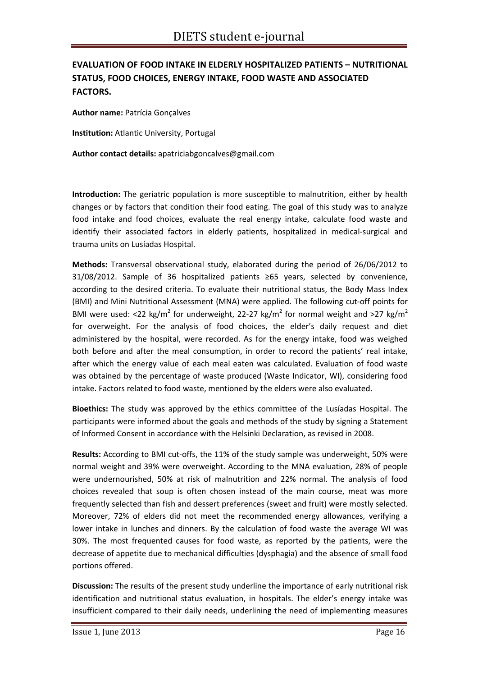# **EVALUATION OF FOOD INTAKE IN ELDERLY HOSPITALIZED PATIENTS – NUTRITIONAL STATUS, FOOD CHOICES, ENERGY INTAKE, FOOD WASTE AND ASSOCIATED FACTORS.**

**Author name:** Patrícia Gonçalves

**Institution:** Atlantic University, Portugal

**Author contact details:** apatriciabgoncalves@gmail.com

**Introduction:** The geriatric population is more susceptible to malnutrition, either by health changes or by factors that condition their food eating. The goal of this study was to analyze food intake and food choices, evaluate the real energy intake, calculate food waste and identify their associated factors in elderly patients, hospitalized in medical-surgical and trauma units on Lusíadas Hospital.

**Methods:** Transversal observational study, elaborated during the period of 26/06/2012 to 31/08/2012. Sample of 36 hospitalized patients ≥65 years, selected by convenience, according to the desired criteria. To evaluate their nutritional status, the Body Mass Index (BMI) and Mini Nutritional Assessment (MNA) were applied. The following cut‐off points for BMI were used: <22 kg/m<sup>2</sup> for underweight, 22-27 kg/m<sup>2</sup> for normal weight and >27 kg/m<sup>2</sup> for overweight. For the analysis of food choices, the elder's daily request and diet administered by the hospital, were recorded. As for the energy intake, food was weighed both before and after the meal consumption, in order to record the patients' real intake, after which the energy value of each meal eaten was calculated. Evaluation of food waste was obtained by the percentage of waste produced (Waste Indicator, WI), considering food intake. Factors related to food waste, mentioned by the elders were also evaluated.

**Bioethics:** The study was approved by the ethics committee of the Lusíadas Hospital. The participants were informed about the goals and methods of the study by signing a Statement of Informed Consent in accordance with the Helsinki Declaration, as revised in 2008.

Results: According to BMI cut-offs, the 11% of the study sample was underweight, 50% were normal weight and 39% were overweight. According to the MNA evaluation, 28% of people were undernourished, 50% at risk of malnutrition and 22% normal. The analysis of food choices revealed that soup is often chosen instead of the main course, meat was more frequently selected than fish and dessert preferences (sweet and fruit) were mostly selected. Moreover, 72% of elders did not meet the recommended energy allowances, verifying a lower intake in lunches and dinners. By the calculation of food waste the average WI was 30%. The most frequented causes for food waste, as reported by the patients, were the decrease of appetite due to mechanical difficulties (dysphagia) and the absence of small food portions offered.

**Discussion:** The results of the present study underline the importance of early nutritional risk identification and nutritional status evaluation, in hospitals. The elder's energy intake was insufficient compared to their daily needs, underlining the need of implementing measures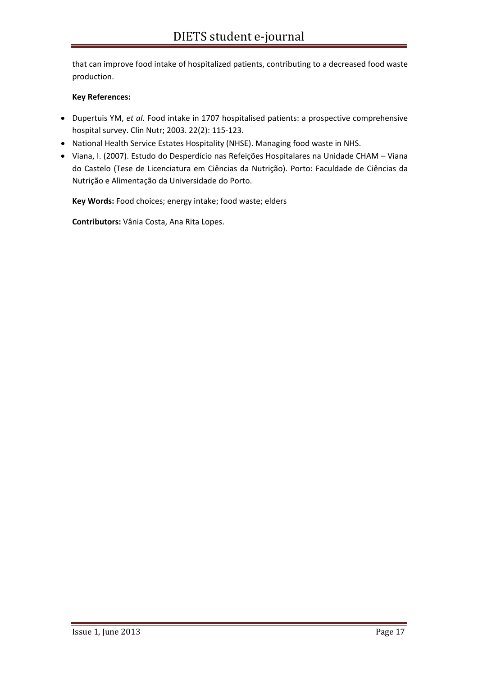that can improve food intake of hospitalized patients, contributing to a decreased food waste production.

#### **Key References:**

- Dupertuis YM, *et al*. Food intake in 1707 hospitalised patients: a prospective comprehensive hospital survey. Clin Nutr; 2003. 22(2): 115‐123.
- National Health Service Estates Hospitality (NHSE). Managing food waste in NHS.
- Viana, I. (2007). Estudo do Desperdício nas Refeições Hospitalares na Unidade CHAM Viana do Castelo (Tese de Licenciatura em Ciências da Nutrição). Porto: Faculdade de Ciências da Nutrição e Alimentação da Universidade do Porto.

**Key Words:** Food choices; energy intake; food waste; elders

**Contributors:** Vânia Costa, Ana Rita Lopes.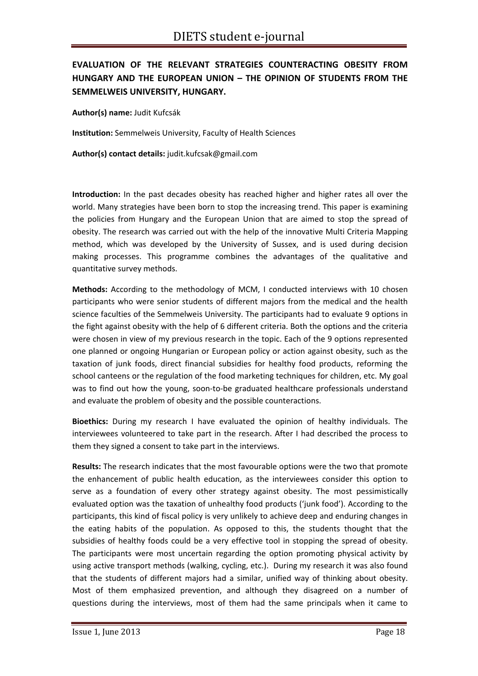# **EVALUATION OF THE RELEVANT STRATEGIES COUNTERACTING OBESITY FROM HUNGARY AND THE EUROPEAN UNION – THE OPINION OF STUDENTS FROM THE SEMMELWEIS UNIVERSITY, HUNGARY.**

**Author(s) name:** Judit Kufcsák

**Institution:** Semmelweis University, Faculty of Health Sciences

**Author(s) contact details:** judit.kufcsak@gmail.com

**Introduction:** In the past decades obesity has reached higher and higher rates all over the world. Many strategies have been born to stop the increasing trend. This paper is examining the policies from Hungary and the European Union that are aimed to stop the spread of obesity. The research was carried out with the help of the innovative Multi Criteria Mapping method, which was developed by the University of Sussex, and is used during decision making processes. This programme combines the advantages of the qualitative and quantitative survey methods.

**Methods:** According to the methodology of MCM, I conducted interviews with 10 chosen participants who were senior students of different majors from the medical and the health science faculties of the Semmelweis University. The participants had to evaluate 9 options in the fight against obesity with the help of 6 different criteria. Both the options and the criteria were chosen in view of my previous research in the topic. Each of the 9 options represented one planned or ongoing Hungarian or European policy or action against obesity, such as the taxation of junk foods, direct financial subsidies for healthy food products, reforming the school canteens or the regulation of the food marketing techniques for children, etc. My goal was to find out how the young, soon-to-be graduated healthcare professionals understand and evaluate the problem of obesity and the possible counteractions.

**Bioethics:** During my research I have evaluated the opinion of healthy individuals. The interviewees volunteered to take part in the research. After I had described the process to them they signed a consent to take part in the interviews.

**Results:** The research indicates that the most favourable options were the two that promote the enhancement of public health education, as the interviewees consider this option to serve as a foundation of every other strategy against obesity. The most pessimistically evaluated option was the taxation of unhealthy food products ('junk food'). According to the participants, this kind of fiscal policy is very unlikely to achieve deep and enduring changes in the eating habits of the population. As opposed to this, the students thought that the subsidies of healthy foods could be a very effective tool in stopping the spread of obesity. The participants were most uncertain regarding the option promoting physical activity by using active transport methods (walking, cycling, etc.). During my research it was also found that the students of different majors had a similar, unified way of thinking about obesity. Most of them emphasized prevention, and although they disagreed on a number of questions during the interviews, most of them had the same principals when it came to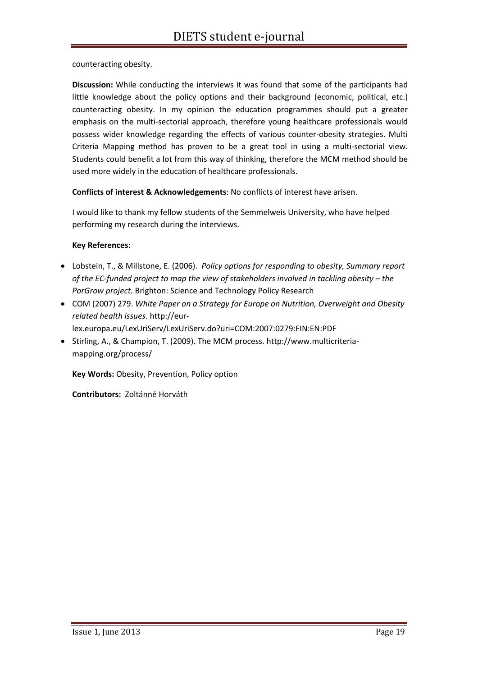counteracting obesity.

**Discussion:** While conducting the interviews it was found that some of the participants had little knowledge about the policy options and their background (economic, political, etc.) counteracting obesity. In my opinion the education programmes should put a greater emphasis on the multi-sectorial approach, therefore young healthcare professionals would possess wider knowledge regarding the effects of various counter‐obesity strategies. Multi Criteria Mapping method has proven to be a great tool in using a multi‐sectorial view. Students could benefit a lot from this way of thinking, therefore the MCM method should be used more widely in the education of healthcare professionals.

**Conflicts of interest & Acknowledgements**: No conflicts of interest have arisen.

I would like to thank my fellow students of the Semmelweis University, who have helped performing my research during the interviews.

#### **Key References:**

- Lobstein, T., & Millstone, E. (2006). *Policy options for responding to obesity, Summary report of the EC‐funded project to map the view of stakeholders involved in tackling obesity – the PorGrow project.* Brighton: Science and Technology Policy Research
- COM (2007) 279. *White Paper on a Strategy for Europe on Nutrition, Overweight and Obesity related health issues*. http://eur‐ lex.europa.eu/LexUriServ/LexUriServ.do?uri=COM:2007:0279:FIN:EN:PDF
- Stirling, A., & Champion, T. (2009). The MCM process. http://www.multicriteria‐ mapping.org/process/

**Key Words:** Obesity, Prevention, Policy option

**Contributors:** Zoltánné Horváth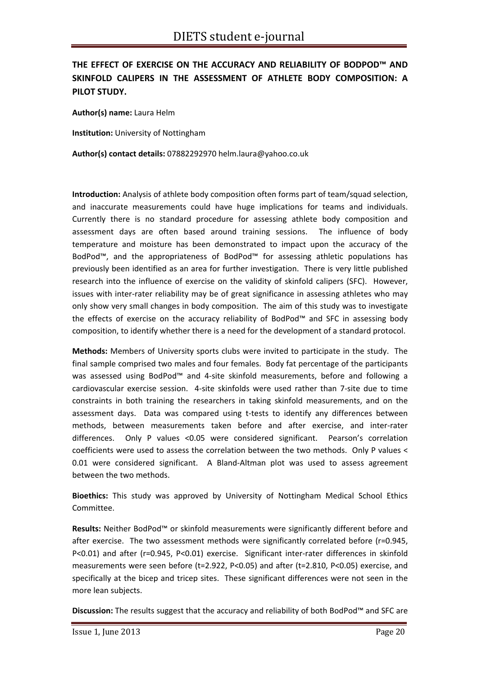# **THE EFFECT OF EXERCISE ON THE ACCURACY AND RELIABILITY OF BODPOD™ AND SKINFOLD CALIPERS IN THE ASSESSMENT OF ATHLETE BODY COMPOSITION: A PILOT STUDY.**

**Author(s) name:** Laura Helm

**Institution:** University of Nottingham

**Author(s) contact details:** 07882292970 helm.laura@yahoo.co.uk

**Introduction:** Analysis of athlete body composition often forms part of team/squad selection, and inaccurate measurements could have huge implications for teams and individuals. Currently there is no standard procedure for assessing athlete body composition and assessment days are often based around training sessions. The influence of body temperature and moisture has been demonstrated to impact upon the accuracy of the BodPod™, and the appropriateness of BodPod™ for assessing athletic populations has previously been identified as an area for further investigation. There is very little published research into the influence of exercise on the validity of skinfold calipers (SFC). However, issues with inter-rater reliability may be of great significance in assessing athletes who may only show very small changes in body composition. The aim of this study was to investigate the effects of exercise on the accuracy reliability of BodPod™ and SFC in assessing body composition, to identify whether there is a need for the development of a standard protocol.

**Methods:** Members of University sports clubs were invited to participate in the study. The final sample comprised two males and four females. Body fat percentage of the participants was assessed using BodPod™ and 4‐site skinfold measurements, before and following a cardiovascular exercise session. 4‐site skinfolds were used rather than 7‐site due to time constraints in both training the researchers in taking skinfold measurements, and on the assessment days. Data was compared using t-tests to identify any differences between methods, between measurements taken before and after exercise, and inter-rater differences. Only P values <0.05 were considered significant. Pearson's correlation coefficients were used to assess the correlation between the two methods. Only P values < 0.01 were considered significant. A Bland-Altman plot was used to assess agreement between the two methods.

**Bioethics:** This study was approved by University of Nottingham Medical School Ethics Committee.

**Results:** Neither BodPod™ or skinfold measurements were significantly different before and after exercise. The two assessment methods were significantly correlated before (r=0.945, P<0.01) and after (r=0.945, P<0.01) exercise. Significant inter-rater differences in skinfold measurements were seen before (t=2.922, P<0.05) and after (t=2.810, P<0.05) exercise, and specifically at the bicep and tricep sites. These significant differences were not seen in the more lean subjects.

**Discussion:** The results suggest that the accuracy and reliability of both BodPod™ and SFC are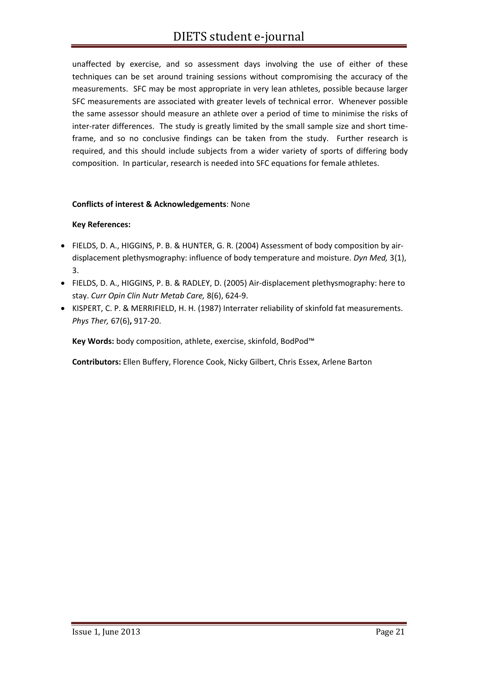unaffected by exercise, and so assessment days involving the use of either of these techniques can be set around training sessions without compromising the accuracy of the measurements. SFC may be most appropriate in very lean athletes, possible because larger SFC measurements are associated with greater levels of technical error. Whenever possible the same assessor should measure an athlete over a period of time to minimise the risks of inter-rater differences. The study is greatly limited by the small sample size and short timeframe, and so no conclusive findings can be taken from the study. Further research is required, and this should include subjects from a wider variety of sports of differing body composition. In particular, research is needed into SFC equations for female athletes.

#### **Conflicts of interest & Acknowledgements**: None

#### **Key References:**

- FIELDS, D. A., HIGGINS, P. B. & HUNTER, G. R. (2004) Assessment of body composition by air‐ displacement plethysmography: influence of body temperature and moisture. *Dyn Med,* 3(1), 3.
- FIELDS, D. A., HIGGINS, P. B. & RADLEY, D. (2005) Air‐displacement plethysmography: here to stay. *Curr Opin Clin Nutr Metab Care,* 8(6), 624‐9.
- KISPERT, C. P. & MERRIFIELD, H. H. (1987) Interrater reliability of skinfold fat measurements. *Phys Ther,* 67(6)**,** 917‐20.

**Key Words:** body composition, athlete, exercise, skinfold, BodPod™

**Contributors:** Ellen Buffery, Florence Cook, Nicky Gilbert, Chris Essex, Arlene Barton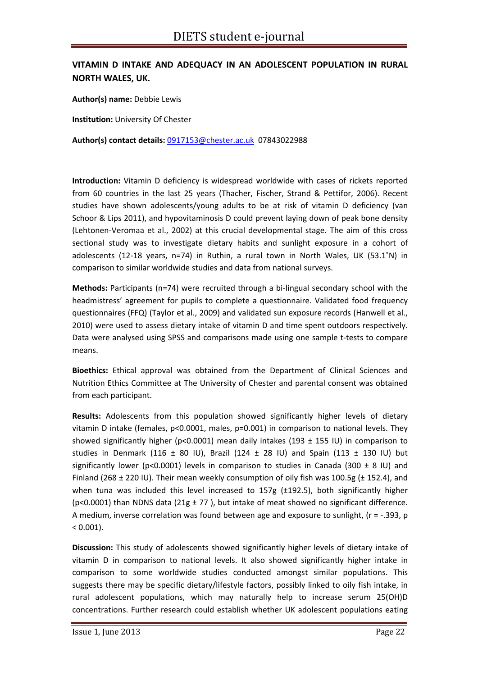## **VITAMIN D INTAKE AND ADEQUACY IN AN ADOLESCENT POPULATION IN RURAL NORTH WALES, UK.**

**Author(s) name:** Debbie Lewis

**Institution:** University Of Chester

**Author(s) contact details:** 0917153@chester.ac.uk 07843022988

**Introduction:** Vitamin D deficiency is widespread worldwide with cases of rickets reported from 60 countries in the last 25 years (Thacher, Fischer, Strand & Pettifor, 2006). Recent studies have shown adolescents/young adults to be at risk of vitamin D deficiency (van Schoor & Lips 2011), and hypovitaminosis D could prevent laying down of peak bone density (Lehtonen‐Veromaa et al., 2002) at this crucial developmental stage. The aim of this cross sectional study was to investigate dietary habits and sunlight exposure in a cohort of adolescents (12‐18 years, n=74) in Ruthin, a rural town in North Wales, UK (53.1˚N) in comparison to similar worldwide studies and data from national surveys.

**Methods:** Participants (n=74) were recruited through a bi-lingual secondary school with the headmistress' agreement for pupils to complete a questionnaire. Validated food frequency questionnaires (FFQ) (Taylor et al., 2009) and validated sun exposure records (Hanwell et al., 2010) were used to assess dietary intake of vitamin D and time spent outdoors respectively. Data were analysed using SPSS and comparisons made using one sample t-tests to compare means.

**Bioethics:** Ethical approval was obtained from the Department of Clinical Sciences and Nutrition Ethics Committee at The University of Chester and parental consent was obtained from each participant.

**Results:** Adolescents from this population showed significantly higher levels of dietary vitamin D intake (females, p<0.0001, males, p=0.001) in comparison to national levels. They showed significantly higher (p<0.0001) mean daily intakes (193  $\pm$  155 IU) in comparison to studies in Denmark (116  $\pm$  80 IU), Brazil (124  $\pm$  28 IU) and Spain (113  $\pm$  130 IU) but significantly lower (p<0.0001) levels in comparison to studies in Canada (300  $\pm$  8 IU) and Finland (268 ± 220 IU). Their mean weekly consumption of oily fish was 100.5g (± 152.4), and when tuna was included this level increased to 157g (±192.5), both significantly higher (p<0.0001) than NDNS data (21g  $\pm$  77), but intake of meat showed no significant difference. A medium, inverse correlation was found between age and exposure to sunlight,  $(r = -0.393, p$  $< 0.001$ ).

**Discussion:** This study of adolescents showed significantly higher levels of dietary intake of vitamin D in comparison to national levels. It also showed significantly higher intake in comparison to some worldwide studies conducted amongst similar populations. This suggests there may be specific dietary/lifestyle factors, possibly linked to oily fish intake, in rural adolescent populations, which may naturally help to increase serum 25(OH)D concentrations. Further research could establish whether UK adolescent populations eating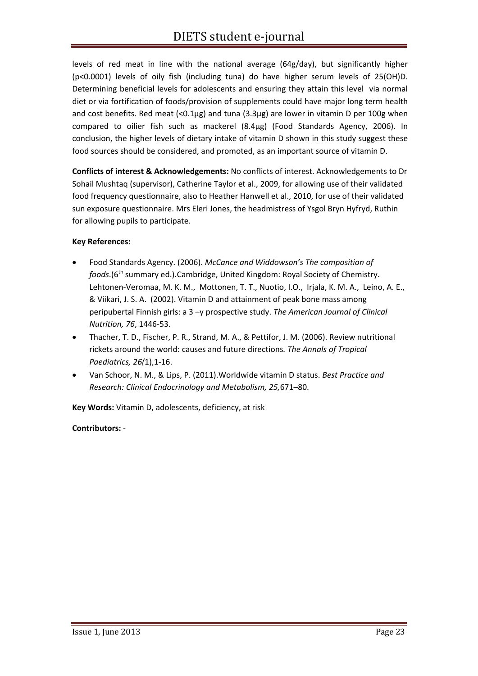levels of red meat in line with the national average (64g/day), but significantly higher (p<0.0001) levels of oily fish (including tuna) do have higher serum levels of 25(OH)D. Determining beneficial levels for adolescents and ensuring they attain this level via normal diet or via fortification of foods/provision of supplements could have major long term health and cost benefits. Red meat  $\langle$ <0.1µg) and tuna  $(3.3\mu g)$  are lower in vitamin D per 100g when compared to oilier fish such as mackerel (8.4µg) (Food Standards Agency, 2006). In conclusion, the higher levels of dietary intake of vitamin D shown in this study suggest these food sources should be considered, and promoted, as an important source of vitamin D.

**Conflicts of interest & Acknowledgements:** No conflicts of interest. Acknowledgements to Dr Sohail Mushtaq (supervisor), Catherine Taylor et al., 2009, for allowing use of their validated food frequency questionnaire, also to Heather Hanwell et al., 2010, for use of their validated sun exposure questionnaire. Mrs Eleri Jones, the headmistress of Ysgol Bryn Hyfryd, Ruthin for allowing pupils to participate.

#### **Key References:**

- Food Standards Agency. (2006). *McCance and Widdowson's The composition of foods*.(6<sup>th</sup> summary ed.).Cambridge, United Kingdom: Royal Society of Chemistry. Lehtonen‐Veromaa, M. K. M., Mottonen, T. T., Nuotio, I.O., Irjala, K. M. A., Leino, A. E., & Viikari, J. S. A. (2002). Vitamin D and attainment of peak bone mass among peripubertal Finnish girls: a 3 –y prospective study. *The American Journal of Clinical Nutrition, 76*, 1446‐53.
- Thacher, T. D., Fischer, P. R., Strand, M. A., & Pettifor, J. M. (2006). Review nutritional rickets around the world: causes and future directions*. The Annals of Tropical Paediatrics, 26(*1),1‐16.
- Van Schoor, N. M., & Lips, P. (2011).Worldwide vitamin D status. *Best Practice and Research: Clinical Endocrinology and Metabolism, 25,*671–80.

**Key Words:** Vitamin D, adolescents, deficiency, at risk

#### **Contributors:** ‐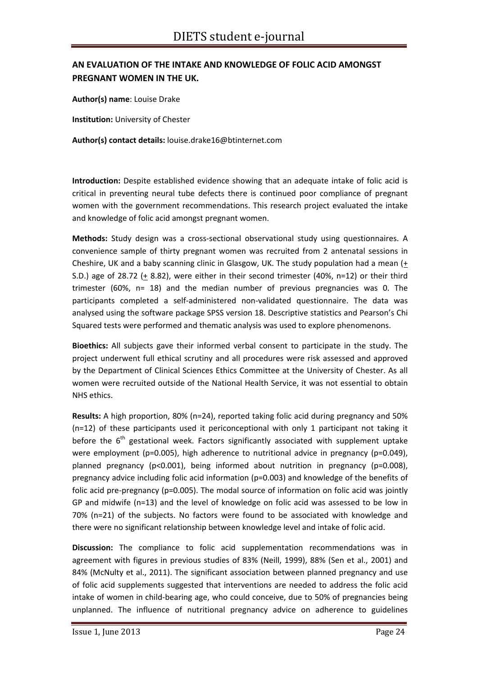# **AN EVALUATION OF THE INTAKE AND KNOWLEDGE OF FOLIC ACID AMONGST PREGNANT WOMEN IN THE UK.**

**Author(s) name**: Louise Drake

**Institution:** University of Chester

**Author(s) contact details:** louise.drake16@btinternet.com

**Introduction:** Despite established evidence showing that an adequate intake of folic acid is critical in preventing neural tube defects there is continued poor compliance of pregnant women with the government recommendations. This research project evaluated the intake and knowledge of folic acid amongst pregnant women.

**Methods:** Study design was a cross-sectional observational study using questionnaires. A convenience sample of thirty pregnant women was recruited from 2 antenatal sessions in Cheshire, UK and a baby scanning clinic in Glasgow, UK. The study population had a mean (+ S.D.) age of 28.72 ( $\pm$  8.82), were either in their second trimester (40%, n=12) or their third trimester (60%, n= 18) and the median number of previous pregnancies was 0. The participants completed a self‐administered non‐validated questionnaire. The data was analysed using the software package SPSS version 18. Descriptive statistics and Pearson's Chi Squared tests were performed and thematic analysis was used to explore phenomenons.

**Bioethics:** All subjects gave their informed verbal consent to participate in the study. The project underwent full ethical scrutiny and all procedures were risk assessed and approved by the Department of Clinical Sciences Ethics Committee at the University of Chester. As all women were recruited outside of the National Health Service, it was not essential to obtain NHS ethics.

**Results:** A high proportion, 80% (n=24), reported taking folic acid during pregnancy and 50% (n=12) of these participants used it periconceptional with only 1 participant not taking it before the  $6<sup>th</sup>$  gestational week. Factors significantly associated with supplement uptake were employment (p=0.005), high adherence to nutritional advice in pregnancy (p=0.049), planned pregnancy (p<0.001), being informed about nutrition in pregnancy (p=0.008), pregnancy advice including folic acid information (p=0.003) and knowledge of the benefits of folic acid pre-pregnancy (p=0.005). The modal source of information on folic acid was jointly GP and midwife (n=13) and the level of knowledge on folic acid was assessed to be low in 70% (n=21) of the subjects. No factors were found to be associated with knowledge and there were no significant relationship between knowledge level and intake of folic acid.

**Discussion:** The compliance to folic acid supplementation recommendations was in agreement with figures in previous studies of 83% (Neill, 1999), 88% (Sen et al., 2001) and 84% (McNulty et al., 2011). The significant association between planned pregnancy and use of folic acid supplements suggested that interventions are needed to address the folic acid intake of women in child-bearing age, who could conceive, due to 50% of pregnancies being unplanned. The influence of nutritional pregnancy advice on adherence to guidelines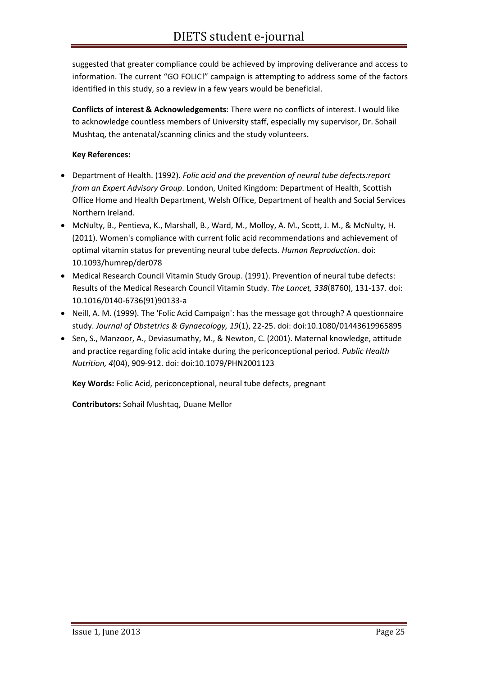suggested that greater compliance could be achieved by improving deliverance and access to information. The current "GO FOLIC!" campaign is attempting to address some of the factors identified in this study, so a review in a few years would be beneficial.

**Conflicts of interest & Acknowledgements**: There were no conflicts of interest. I would like to acknowledge countless members of University staff, especially my supervisor, Dr. Sohail Mushtaq, the antenatal/scanning clinics and the study volunteers.

#### **Key References:**

- Department of Health. (1992). *Folic acid and the prevention of neural tube defects:report from an Expert Advisory Group*. London, United Kingdom: Department of Health, Scottish Office Home and Health Department, Welsh Office, Department of health and Social Services Northern Ireland.
- McNulty, B., Pentieva, K., Marshall, B., Ward, M., Molloy, A. M., Scott, J. M., & McNulty, H. (2011). Women's compliance with current folic acid recommendations and achievement of optimal vitamin status for preventing neural tube defects. *Human Reproduction*. doi: 10.1093/humrep/der078
- Medical Research Council Vitamin Study Group. (1991). Prevention of neural tube defects: Results of the Medical Research Council Vitamin Study. *The Lancet, 338*(8760), 131‐137. doi: 10.1016/0140‐6736(91)90133‐a
- Neill, A. M. (1999). The 'Folic Acid Campaign': has the message got through? A questionnaire study. *Journal of Obstetrics & Gynaecology, 19*(1), 22‐25. doi: doi:10.1080/01443619965895
- Sen, S., Manzoor, A., Deviasumathy, M., & Newton, C. (2001). Maternal knowledge, attitude and practice regarding folic acid intake during the periconceptional period. *Public Health Nutrition, 4*(04), 909‐912. doi: doi:10.1079/PHN2001123

**Key Words:** Folic Acid, periconceptional, neural tube defects, pregnant

**Contributors:** Sohail Mushtaq, Duane Mellor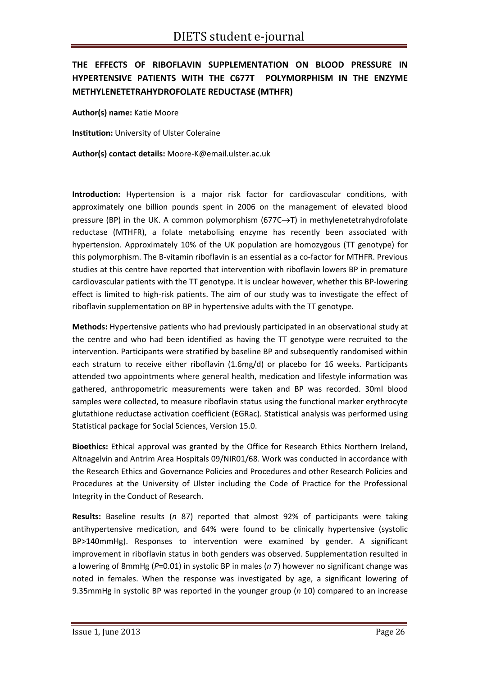# **THE EFFECTS OF RIBOFLAVIN SUPPLEMENTATION ON BLOOD PRESSURE IN HYPERTENSIVE PATIENTS WITH THE C677T POLYMORPHISM IN THE ENZYME METHYLENETETRAHYDROFOLATE REDUCTASE (MTHFR)**

**Author(s) name:** Katie Moore

**Institution:** University of Ulster Coleraine

**Author(s) contact details:** Moore‐K@email.ulster.ac.uk

**Introduction:** Hypertension is a major risk factor for cardiovascular conditions, with approximately one billion pounds spent in 2006 on the management of elevated blood pressure (BP) in the UK. A common polymorphism (677C→T) in methylenetetrahydrofolate reductase (MTHFR), a folate metabolising enzyme has recently been associated with hypertension. Approximately 10% of the UK population are homozygous (TT genotype) for this polymorphism. The B-vitamin riboflavin is an essential as a co-factor for MTHFR. Previous studies at this centre have reported that intervention with riboflavin lowers BP in premature cardiovascular patients with the TT genotype. It is unclear however, whether this BP‐lowering effect is limited to high‐risk patients. The aim of our study was to investigate the effect of riboflavin supplementation on BP in hypertensive adults with the TT genotype.

**Methods:** Hypertensive patients who had previously participated in an observational study at the centre and who had been identified as having the TT genotype were recruited to the intervention. Participants were stratified by baseline BP and subsequently randomised within each stratum to receive either riboflavin (1.6mg/d) or placebo for 16 weeks. Participants attended two appointments where general health, medication and lifestyle information was gathered, anthropometric measurements were taken and BP was recorded. 30ml blood samples were collected, to measure riboflavin status using the functional marker erythrocyte glutathione reductase activation coefficient (EGRac). Statistical analysis was performed using Statistical package for Social Sciences, Version 15.0.

**Bioethics:** Ethical approval was granted by the Office for Research Ethics Northern Ireland, Altnagelvin and Antrim Area Hospitals 09/NIR01/68. Work was conducted in accordance with the Research Ethics and Governance Policies and Procedures and other Research Policies and Procedures at the University of Ulster including the Code of Practice for the Professional Integrity in the Conduct of Research.

**Results:** Baseline results (*n* 87) reported that almost 92% of participants were taking antihypertensive medication, and 64% were found to be clinically hypertensive (systolic BP>140mmHg). Responses to intervention were examined by gender. A significant improvement in riboflavin status in both genders was observed. Supplementation resulted in a lowering of 8mmHg (*P*=0.01) in systolic BP in males (*n* 7) however no significant change was noted in females. When the response was investigated by age, a significant lowering of 9.35mmHg in systolic BP was reported in the younger group (*n* 10) compared to an increase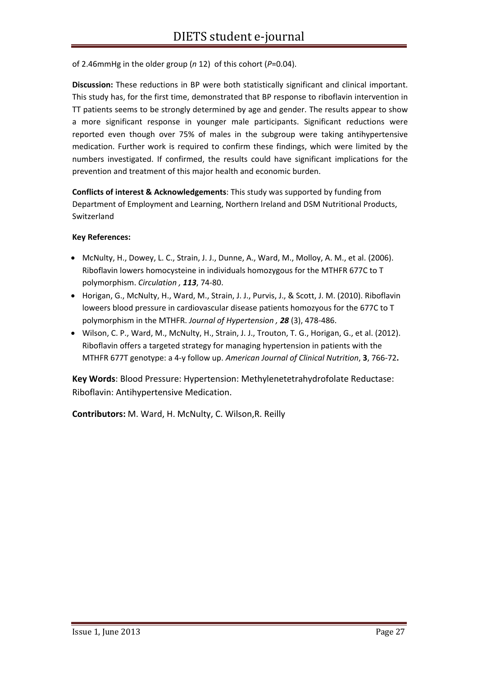of 2.46mmHg in the older group (*n* 12) of this cohort (*P*=0.04).

**Discussion:** These reductions in BP were both statistically significant and clinical important. This study has, for the first time, demonstrated that BP response to riboflavin intervention in TT patients seems to be strongly determined by age and gender. The results appear to show a more significant response in younger male participants. Significant reductions were reported even though over 75% of males in the subgroup were taking antihypertensive medication. Further work is required to confirm these findings, which were limited by the numbers investigated. If confirmed, the results could have significant implications for the prevention and treatment of this major health and economic burden.

**Conflicts of interest & Acknowledgements**: This study was supported by funding from Department of Employment and Learning, Northern Ireland and DSM Nutritional Products, Switzerland

#### **Key References:**

- McNulty, H., Dowey, L. C., Strain, J. J., Dunne, A., Ward, M., Molloy, A. M., et al. (2006). Riboflavin lowers homocysteine in individuals homozygous for the MTHFR 677C to T polymorphism. *Circulation , 113*, 74‐80.
- Horigan, G., McNulty, H., Ward, M., Strain, J. J., Purvis, J., & Scott, J. M. (2010). Riboflavin loweers blood pressure in cardiovascular disease patients homozyous for the 677C to T polymorphism in the MTHFR. *Journal of Hypertension , 28* (3), 478‐486.
- Wilson, C. P., Ward, M., McNulty, H., Strain, J. J., Trouton, T. G., Horigan, G., et al. (2012). Riboflavin offers a targeted strategy for managing hypertension in patients with the MTHFR 677T genotype: a 4‐y follow up. *American Journal of Clinical Nutrition*, **3**, 766‐72**.**

**Key Words**: Blood Pressure: Hypertension: Methylenetetrahydrofolate Reductase: Riboflavin: Antihypertensive Medication.

**Contributors:** M. Ward, H. McNulty, C. Wilson,R. Reilly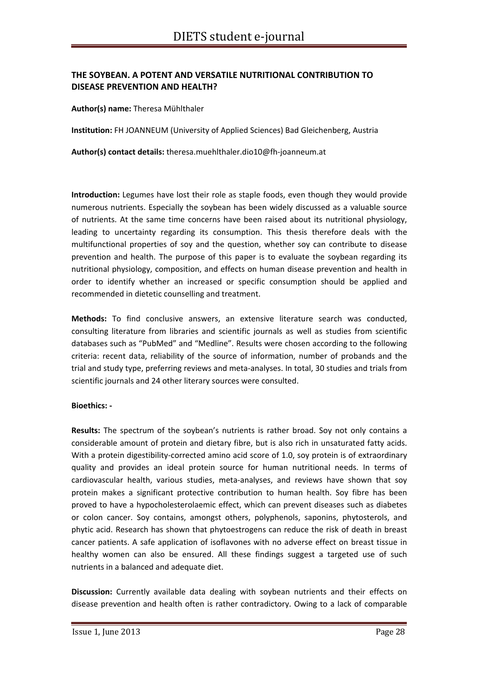#### **THE SOYBEAN. A POTENT AND VERSATILE NUTRITIONAL CONTRIBUTION TO DISEASE PREVENTION AND HEALTH?**

**Author(s) name:** Theresa Mühlthaler

**Institution:** FH JOANNEUM (University of Applied Sciences) Bad Gleichenberg, Austria

**Author(s) contact details:** theresa.muehlthaler.dio10@fh‐joanneum.at

**Introduction:** Legumes have lost their role as staple foods, even though they would provide numerous nutrients. Especially the soybean has been widely discussed as a valuable source of nutrients. At the same time concerns have been raised about its nutritional physiology, leading to uncertainty regarding its consumption. This thesis therefore deals with the multifunctional properties of soy and the question, whether soy can contribute to disease prevention and health. The purpose of this paper is to evaluate the soybean regarding its nutritional physiology, composition, and effects on human disease prevention and health in order to identify whether an increased or specific consumption should be applied and recommended in dietetic counselling and treatment.

**Methods:** To find conclusive answers, an extensive literature search was conducted, consulting literature from libraries and scientific journals as well as studies from scientific databases such as "PubMed" and "Medline". Results were chosen according to the following criteria: recent data, reliability of the source of information, number of probands and the trial and study type, preferring reviews and meta‐analyses. In total, 30 studies and trials from scientific journals and 24 other literary sources were consulted.

#### **Bioethics: ‐**

**Results:** The spectrum of the soybean's nutrients is rather broad. Soy not only contains a considerable amount of protein and dietary fibre, but is also rich in unsaturated fatty acids. With a protein digestibility-corrected amino acid score of 1.0, soy protein is of extraordinary quality and provides an ideal protein source for human nutritional needs. In terms of cardiovascular health, various studies, meta-analyses, and reviews have shown that soy protein makes a significant protective contribution to human health. Soy fibre has been proved to have a hypocholesterolaemic effect, which can prevent diseases such as diabetes or colon cancer. Soy contains, amongst others, polyphenols, saponins, phytosterols, and phytic acid. Research has shown that phytoestrogens can reduce the risk of death in breast cancer patients. A safe application of isoflavones with no adverse effect on breast tissue in healthy women can also be ensured. All these findings suggest a targeted use of such nutrients in a balanced and adequate diet.

**Discussion:** Currently available data dealing with soybean nutrients and their effects on disease prevention and health often is rather contradictory. Owing to a lack of comparable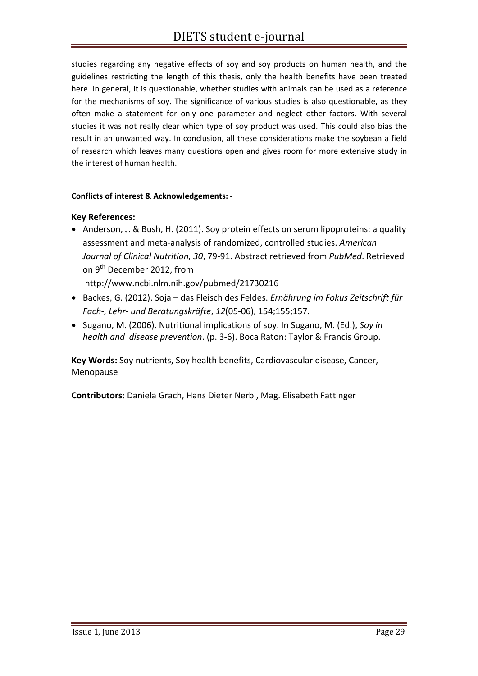studies regarding any negative effects of soy and soy products on human health, and the guidelines restricting the length of this thesis, only the health benefits have been treated here. In general, it is questionable, whether studies with animals can be used as a reference for the mechanisms of soy. The significance of various studies is also questionable, as they often make a statement for only one parameter and neglect other factors. With several studies it was not really clear which type of soy product was used. This could also bias the result in an unwanted way. In conclusion, all these considerations make the soybean a field of research which leaves many questions open and gives room for more extensive study in the interest of human health.

#### **Conflicts of interest & Acknowledgements: ‐**

#### **Key References:**

- Anderson, J. & Bush, H. (2011). Soy protein effects on serum lipoproteins: a quality assessment and meta‐analysis of randomized, controlled studies. *American Journal of Clinical Nutrition, 30*, 79‐91. Abstract retrieved from *PubMed*. Retrieved on 9<sup>th</sup> December 2012, from http://www.ncbi.nlm.nih.gov/pubmed/21730216
- Backes, G. (2012). Soja das Fleisch des Feldes. *Ernährung im Fokus Zeitschrift für Fach‐, Lehr‐ und Beratungskräfte*, *12*(05‐06), 154;155;157.
- Sugano, M. (2006). Nutritional implications of soy. In Sugano, M. (Ed.), *Soy in health and disease prevention*. (p. 3‐6). Boca Raton: Taylor & Francis Group.

**Key Words:** Soy nutrients, Soy health benefits, Cardiovascular disease, Cancer, Menopause

**Contributors:** Daniela Grach, Hans Dieter Nerbl, Mag. Elisabeth Fattinger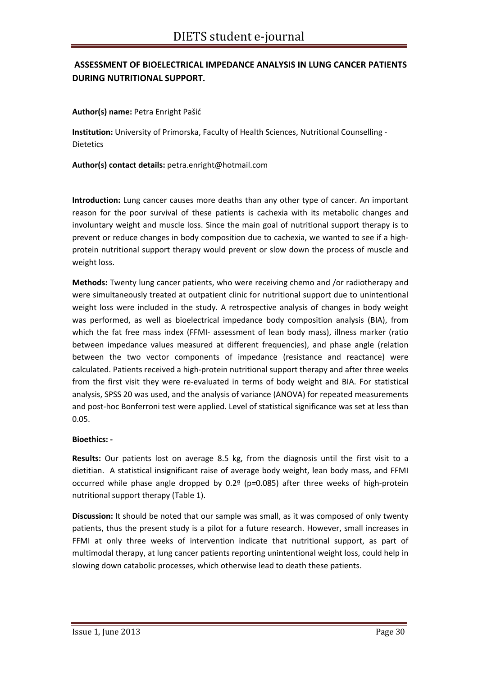# **ASSESSMENT OF BIOELECTRICAL IMPEDANCE ANALYSIS IN LUNG CANCER PATIENTS DURING NUTRITIONAL SUPPORT.**

**Author(s) name:** Petra Enright Pašić

**Institution:** University of Primorska, Faculty of Health Sciences, Nutritional Counselling ‐ Dietetics

**Author(s) contact details:** petra.enright@hotmail.com

**Introduction:** Lung cancer causes more deaths than any other type of cancer. An important reason for the poor survival of these patients is cachexia with its metabolic changes and involuntary weight and muscle loss. Since the main goal of nutritional support therapy is to prevent or reduce changes in body composition due to cachexia, we wanted to see if a highprotein nutritional support therapy would prevent or slow down the process of muscle and weight loss.

**Methods:** Twenty lung cancer patients, who were receiving chemo and /or radiotherapy and were simultaneously treated at outpatient clinic for nutritional support due to unintentional weight loss were included in the study. A retrospective analysis of changes in body weight was performed, as well as bioelectrical impedance body composition analysis (BIA), from which the fat free mass index (FFMI- assessment of lean body mass), illness marker (ratio between impedance values measured at different frequencies), and phase angle (relation between the two vector components of impedance (resistance and reactance) were calculated. Patients received a high‐protein nutritional support therapy and after three weeks from the first visit they were re-evaluated in terms of body weight and BIA. For statistical analysis, SPSS 20 was used, and the analysis of variance (ANOVA) for repeated measurements and post-hoc Bonferroni test were applied. Level of statistical significance was set at less than 0.05.

#### **Bioethics: ‐**

**Results:** Our patients lost on average 8.5 kg, from the diagnosis until the first visit to a dietitian. A statistical insignificant raise of average body weight, lean body mass, and FFMI occurred while phase angle dropped by 0.2º (p*=*0.085) after three weeks of high‐protein nutritional support therapy (Table 1).

**Discussion:** It should be noted that our sample was small, as it was composed of only twenty patients, thus the present study is a pilot for a future research. However, small increases in FFMI at only three weeks of intervention indicate that nutritional support, as part of multimodal therapy, at lung cancer patients reporting unintentional weight loss, could help in slowing down catabolic processes, which otherwise lead to death these patients.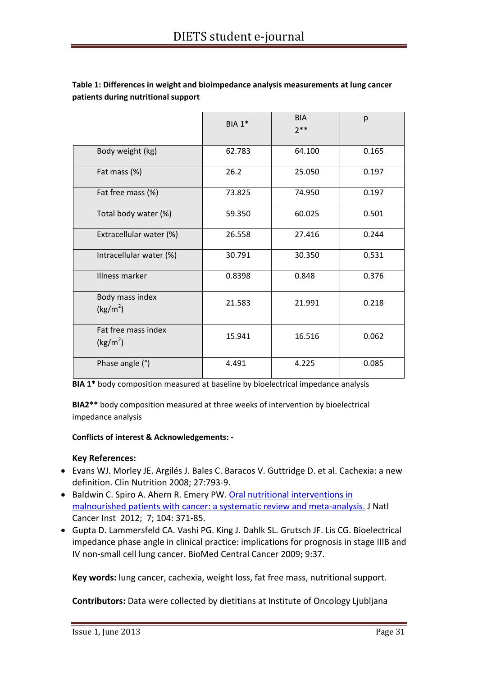|                                             | <b>BIA 1*</b> | <b>BIA</b><br>$7**$ | p     |
|---------------------------------------------|---------------|---------------------|-------|
| Body weight (kg)                            | 62.783        | 64.100              | 0.165 |
| Fat mass (%)                                | 26.2          | 25.050              | 0.197 |
| Fat free mass (%)                           | 73.825        | 74.950              | 0.197 |
| Total body water (%)                        | 59.350        | 60.025              | 0.501 |
| Extracellular water (%)                     | 26.558        | 27.416              | 0.244 |
| Intracellular water (%)                     | 30.791        | 30.350              | 0.531 |
| Illness marker                              | 0.8398        | 0.848               | 0.376 |
| Body mass index<br>(kg/m <sup>2</sup> )     | 21.583        | 21.991              | 0.218 |
| Fat free mass index<br>(kg/m <sup>2</sup> ) | 15.941        | 16.516              | 0.062 |
| Phase angle (°)                             | 4.491         | 4.225               | 0.085 |

**Table 1: Differences in weight and bioimpedance analysis measurements at lung cancer patients during nutritional support** 

**BIA 1\*** body composition measured at baseline by bioelectrical impedance analysis

**BIA2\*\*** body composition measured at three weeks of intervention by bioelectrical impedance analysis

#### **Conflicts of interest & Acknowledgements: ‐**

#### **Key References:**

- Evans WJ. Morley JE. Argilés J. Bales C. Baracos V. Guttridge D. et al. Cachexia: a new definition. Clin Nutrition 2008; 27:793‐9.
- Baldwin C. Spiro A. Ahern R. Emery PW. Oral nutritional interventions in malnourished patients with cancer: a systematic review and meta‐analysis. J Natl Cancer Inst 2012; 7; 104: 371‐85.
- Gupta D. Lammersfeld CA. Vashi PG. King J. Dahlk SL. Grutsch JF. Lis CG. Bioelectrical impedance phase angle in clinical practice: implications for prognosis in stage IIIB and IV non‐small cell lung cancer. BioMed Central Cancer 2009; 9:37.

**Key words:** lung cancer, cachexia, weight loss, fat free mass, nutritional support.

**Contributors:** Data were collected by dietitians at Institute of Oncology Ljubljana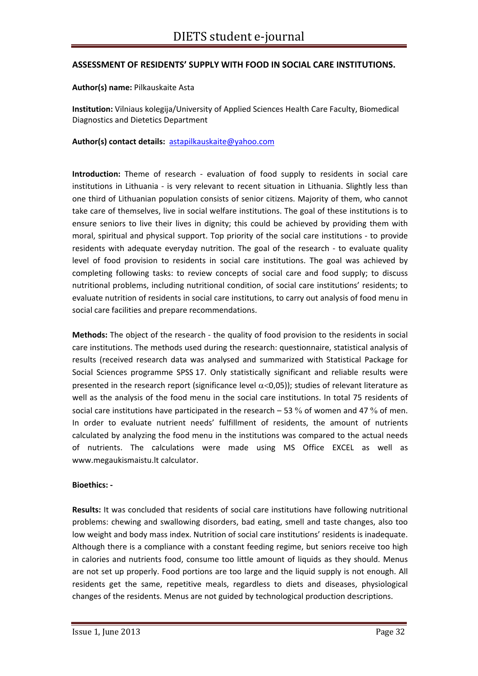#### **ASSESSMENT OF RESIDENTS' SUPPLY WITH FOOD IN SOCIAL CARE INSTITUTIONS.**

#### **Author(s) name:** Pilkauskaite Asta

**Institution:** Vilniaus kolegija/University of Applied Sciences Health Care Faculty, Biomedical Diagnostics and Dietetics Department

#### **Author(s) contact details:** astapilkauskaite@yahoo.com

**Introduction:** Theme of research - evaluation of food supply to residents in social care institutions in Lithuania - is very relevant to recent situation in Lithuania. Slightly less than one third of Lithuanian population consists of senior citizens. Majority of them, who cannot take care of themselves, live in social welfare institutions. The goal of these institutions is to ensure seniors to live their lives in dignity; this could be achieved by providing them with moral, spiritual and physical support. Top priority of the social care institutions ‐ to provide residents with adequate everyday nutrition. The goal of the research - to evaluate quality level of food provision to residents in social care institutions. The goal was achieved by completing following tasks: to review concepts of social care and food supply; to discuss nutritional problems, including nutritional condition, of social care institutions' residents; to evaluate nutrition of residents in social care institutions, to carry out analysis of food menu in social care facilities and prepare recommendations.

**Methods:** The object of the research ‐ the quality of food provision to the residents in social care institutions. The methods used during the research: questionnaire, statistical analysis of results (received research data was analysed and summarized with Statistical Package for Social Sciences programme SPSS 17. Only statistically significant and reliable results were presented in the research report (significance level  $\alpha$ <0,05)); studies of relevant literature as well as the analysis of the food menu in the social care institutions. In total 75 residents of social care institutions have participated in the research  $-53\%$  of women and 47% of men. In order to evaluate nutrient needs' fulfillment of residents, the amount of nutrients calculated by analyzing the food menu in the institutions was compared to the actual needs of nutrients. The calculations were made using MS Office EXCEL as well as www.megaukismaistu.lt calculator.

#### **Bioethics: ‐**

**Results:** It was concluded that residents of social care institutions have following nutritional problems: chewing and swallowing disorders, bad eating, smell and taste changes, also too low weight and body mass index. Nutrition of social care institutions' residents is inadequate. Although there is a compliance with a constant feeding regime, but seniors receive too high in calories and nutrients food, consume too little amount of liquids as they should. Menus are not set up properly. Food portions are too large and the liquid supply is not enough. All residents get the same, repetitive meals, regardless to diets and diseases, physiological changes of the residents. Menus are not guided by technological production descriptions.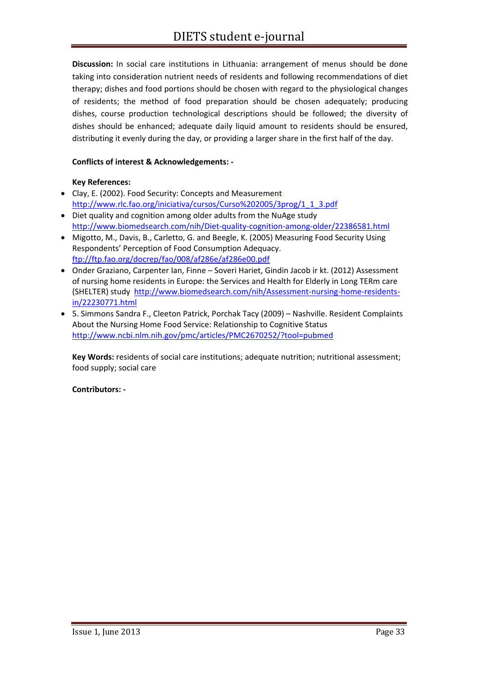**Discussion:** In social care institutions in Lithuania: arrangement of menus should be done taking into consideration nutrient needs of residents and following recommendations of diet therapy; dishes and food portions should be chosen with regard to the physiological changes of residents; the method of food preparation should be chosen adequately; producing dishes, course production technological descriptions should be followed; the diversity of dishes should be enhanced; adequate daily liquid amount to residents should be ensured, distributing it evenly during the day, or providing a larger share in the first half of the day.

#### **Conflicts of interest & Acknowledgements: ‐**

#### **Key References:**

- Clay, E. (2002). Food Security: Concepts and Measurement http://www.rlc.fao.org/iniciativa/cursos/Curso%202005/3prog/1\_1\_3.pdf
- Diet quality and cognition among older adults from the NuAge study http://www.biomedsearch.com/nih/Diet‐quality‐cognition‐among‐older/22386581.html
- Migotto, M., Davis, B., Carletto, G. and Beegle, K. (2005) Measuring Food Security Using Respondents' Perception of Food Consumption Adequacy. ftp://ftp.fao.org/docrep/fao/008/af286e/af286e00.pdf
- Onder Graziano, Carpenter Ian, Finne Soveri Hariet, Gindin Jacob ir kt. (2012) Assessment of nursing home residents in Europe: the Services and Health for Elderly in Long TERm care (SHELTER) study http://www.biomedsearch.com/nih/Assessment‐nursing‐home‐residents‐ in/22230771.html
- 5. Simmons Sandra F., Cleeton Patrick, Porchak Tacy (2009) Nashville. Resident Complaints About the Nursing Home Food Service: Relationship to Cognitive Status http://www.ncbi.nlm.nih.gov/pmc/articles/PMC2670252/?tool=pubmed

**Key Words:** residents of social care institutions; adequate nutrition; nutritional assessment; food supply; social care

#### **Contributors: ‐**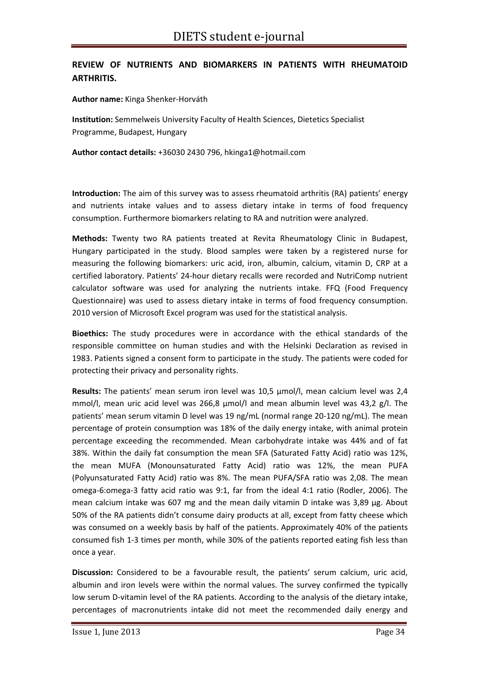### **REVIEW OF NUTRIENTS AND BIOMARKERS IN PATIENTS WITH RHEUMATOID ARTHRITIS.**

**Author name:** Kinga Shenker‐Horváth

**Institution:** Semmelweis University Faculty of Health Sciences, Dietetics Specialist Programme, Budapest, Hungary

**Author contact details:** +36030 2430 796, hkinga1@hotmail.com

**Introduction:** The aim of this survey was to assess rheumatoid arthritis (RA) patients' energy and nutrients intake values and to assess dietary intake in terms of food frequency consumption. Furthermore biomarkers relating to RA and nutrition were analyzed.

**Methods:** Twenty two RA patients treated at Revita Rheumatology Clinic in Budapest, Hungary participated in the study. Blood samples were taken by a registered nurse for measuring the following biomarkers: uric acid, iron, albumin, calcium, vitamin D, CRP at a certified laboratory. Patients' 24‐hour dietary recalls were recorded and NutriComp nutrient calculator software was used for analyzing the nutrients intake. FFQ (Food Frequency Questionnaire) was used to assess dietary intake in terms of food frequency consumption. 2010 version of Microsoft Excel program was used for the statistical analysis.

**Bioethics:** The study procedures were in accordance with the ethical standards of the responsible committee on human studies and with the Helsinki Declaration as revised in 1983. Patients signed a consent form to participate in the study. The patients were coded for protecting their privacy and personality rights.

**Results:** The patients' mean serum iron level was 10,5 µmol/l, mean calcium level was 2,4 mmol/l, mean uric acid level was 266,8 µmol/l and mean albumin level was 43,2 g/l. The patients' mean serum vitamin D level was 19 ng/mL (normal range 20‐120 ng/mL). The mean percentage of protein consumption was 18% of the daily energy intake, with animal protein percentage exceeding the recommended. Mean carbohydrate intake was 44% and of fat 38%. Within the daily fat consumption the mean SFA (Saturated Fatty Acid) ratio was 12%, the mean MUFA (Monounsaturated Fatty Acid) ratio was 12%, the mean PUFA (Polyunsaturated Fatty Acid) ratio was 8%. The mean PUFA/SFA ratio was 2,08. The mean omega‐6:omega‐3 fatty acid ratio was 9:1, far from the ideal 4:1 ratio (Rodler, 2006). The mean calcium intake was 607 mg and the mean daily vitamin D intake was 3,89 µg. About 50% of the RA patients didn't consume dairy products at all, except from fatty cheese which was consumed on a weekly basis by half of the patients. Approximately 40% of the patients consumed fish 1‐3 times per month, while 30% of the patients reported eating fish less than once a year.

**Discussion:** Considered to be a favourable result, the patients' serum calcium, uric acid, albumin and iron levels were within the normal values. The survey confirmed the typically low serum D‐vitamin level of the RA patients. According to the analysis of the dietary intake, percentages of macronutrients intake did not meet the recommended daily energy and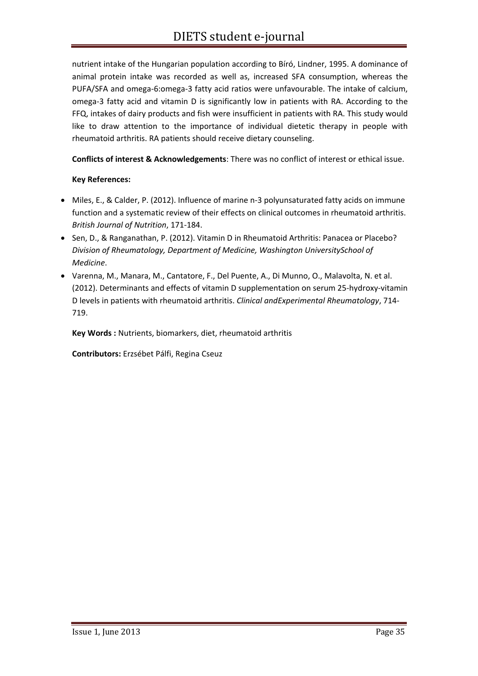nutrient intake of the Hungarian population according to Bíró, Lindner, 1995. A dominance of animal protein intake was recorded as well as, increased SFA consumption, whereas the PUFA/SFA and omega‐6:omega‐3 fatty acid ratios were unfavourable. The intake of calcium, omega‐3 fatty acid and vitamin D is significantly low in patients with RA. According to the FFQ, intakes of dairy products and fish were insufficient in patients with RA. This study would like to draw attention to the importance of individual dietetic therapy in people with rheumatoid arthritis. RA patients should receive dietary counseling.

**Conflicts of interest & Acknowledgements**: There was no conflict of interest or ethical issue.

#### **Key References:**

- Miles, E., & Calder, P. (2012). Influence of marine n‐3 polyunsaturated fatty acids on immune function and a systematic review of their effects on clinical outcomes in rheumatoid arthritis. *British Journal of Nutrition*, 171‐184.
- Sen, D., & Ranganathan, P. (2012). Vitamin D in Rheumatoid Arthritis: Panacea or Placebo? *Division of Rheumatology, Department of Medicine, Washington UniversitySchool of Medicine*.
- Varenna, M., Manara, M., Cantatore, F., Del Puente, A., Di Munno, O., Malavolta, N. et al. (2012). Determinants and effects of vitamin D supplementation on serum 25‐hydroxy‐vitamin D levels in patients with rheumatoid arthritis. *Clinical andExperimental Rheumatology*, 714‐ 719.

**Key Words :** Nutrients, biomarkers, diet, rheumatoid arthritis

**Contributors:** Erzsébet Pálfi, Regina Cseuz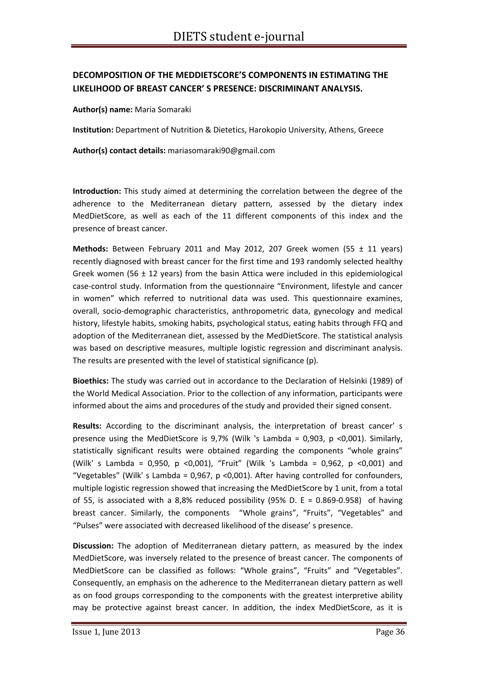## **DECOMPOSITION OF THE MEDDIETSCORE'S COMPONENTS IN ESTIMATING THE LIKELIHOOD OF BREAST CANCER' S PRESENCE: DISCRIMINANT ANALYSIS.**

**Author(s) name:** Maria Somaraki

**Institution:** Department of Nutrition & Dietetics, Harokopio University, Athens, Greece

**Author(s) contact details:** mariasomaraki90@gmail.com

**Introduction:** This study aimed at determining the correlation between the degree of the adherence to the Mediterranean dietary pattern, assessed by the dietary index MedDietScore, as well as each of the 11 different components of this index and the presence of breast cancer.

**Methods:** Between February 2011 and May 2012, 207 Greek women (55 ± 11 years) recently diagnosed with breast cancer for the first time and 193 randomly selected healthy Greek women (56  $\pm$  12 years) from the basin Attica were included in this epidemiological case‐control study. Information from the questionnaire "Environment, lifestyle and cancer in women" which referred to nutritional data was used. This questionnaire examines, overall, socio‐demographic characteristics, anthropometric data, gynecology and medical history, lifestyle habits, smoking habits, psychological status, eating habits through FFQ and adoption of the Mediterranean diet, assessed by the MedDietScore. The statistical analysis was based on descriptive measures, multiple logistic regression and discriminant analysis. The results are presented with the level of statistical significance (p).

**Bioethics:** The study was carried out in accordance to the Declaration of Helsinki (1989) of the World Medical Association. Prior to the collection of any information, participants were informed about the aims and procedures of the study and provided their signed consent.

**Results:** According to the discriminant analysis, the interpretation of breast cancer' s presence using the MedDietScore is  $9.7\%$  (Wilk 's Lambda = 0,903, p <0,001). Similarly, statistically significant results were obtained regarding the components "whole grains" (Wilk' s Lambda = 0,950, p <0,001), "Fruit" (Wilk 's Lambda = 0,962, p <0,001) and "Vegetables" (Wilk' s Lambda = 0,967, p <0,001). After having controlled for confounders, multiple logistic regression showed that increasing the MedDietScore by 1 unit, from a total of 55, is associated with a 8,8% reduced possibility (95% D. E =  $0.869-0.958$ ) of having breast cancer. Similarly, the components "Whole grains", "Fruits", "Vegetables" and "Pulses" were associated with decreased likelihood of the disease' s presence.

**Discussion:** The adoption of Mediterranean dietary pattern, as measured by the index MedDietScore, was inversely related to the presence of breast cancer. The components of MedDietScore can be classified as follows: "Whole grains", "Fruits" and "Vegetables". Consequently, an emphasis on the adherence to the Mediterranean dietary pattern as well as on food groups corresponding to the components with the greatest interpretive ability may be protective against breast cancer. In addition, the index MedDietScore, as it is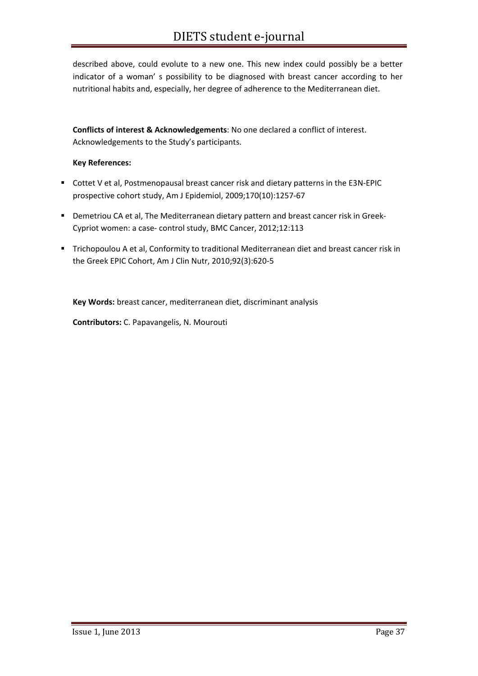described above, could evolute to a new one. This new index could possibly be a better indicator of a woman' s possibility to be diagnosed with breast cancer according to her nutritional habits and, especially, her degree of adherence to the Mediterranean diet.

**Conflicts of interest & Acknowledgements**: No one declared a conflict of interest. Acknowledgements to the Study's participants.

#### **Key References:**

- Cottet V et al, Postmenopausal breast cancer risk and dietary patterns in the E3N-EPIC prospective cohort study, Am J Epidemiol, 2009;170(10):1257‐67
- Demetriou CA et al, The Mediterranean dietary pattern and breast cancer risk in Greek-Cypriot women: a case‐ control study, BMC Cancer, 2012;12:113
- **Timonof A. 2018** Trichopoulou A et al, Conformity to traditional Mediterranean diet and breast cancer risk in the Greek EPIC Cohort, Am J Clin Nutr, 2010;92(3):620‐5

**Key Words:** breast cancer, mediterranean diet, discriminant analysis

**Contributors:** C. Papavangelis, N. Mourouti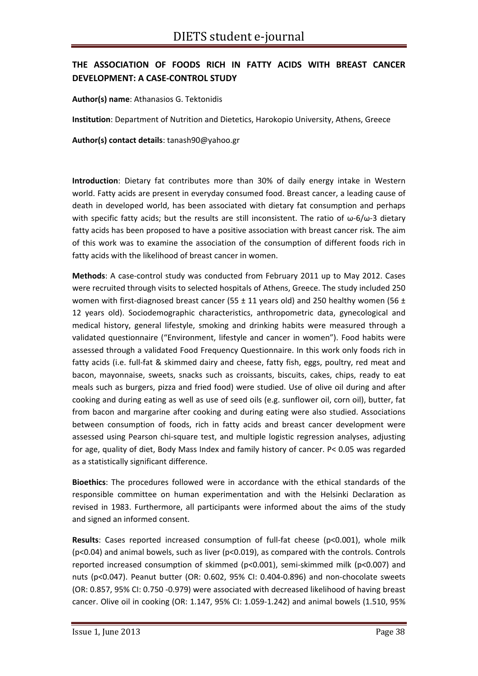# **THE ASSOCIATION OF FOODS RICH IN FATTY ACIDS WITH BREAST CANCER DEVELOPMENT: A CASE‐CONTROL STUDY**

#### **Author(s) name**: Athanasios G. Tektonidis

**Institution**: Department of Nutrition and Dietetics, Harokopio University, Athens, Greece

**Author(s) contact details**: tanash90@yahoo.gr

**Introduction**: Dietary fat contributes more than 30% of daily energy intake in Western world. Fatty acids are present in everyday consumed food. Breast cancer, a leading cause of death in developed world, has been associated with dietary fat consumption and perhaps with specific fatty acids; but the results are still inconsistent. The ratio of  $\omega$ -6/ $\omega$ -3 dietary fatty acids has been proposed to have a positive association with breast cancer risk. The aim of this work was to examine the association of the consumption of different foods rich in fatty acids with the likelihood of breast cancer in women.

**Methods**: A case‐control study was conducted from February 2011 up to May 2012. Cases were recruited through visits to selected hospitals of Athens, Greece. The study included 250 women with first-diagnosed breast cancer (55  $\pm$  11 years old) and 250 healthy women (56  $\pm$ 12 years old). Sociodemographic characteristics, anthropometric data, gynecological and medical history, general lifestyle, smoking and drinking habits were measured through a validated questionnaire ("Environment, lifestyle and cancer in women"). Food habits were assessed through a validated Food Frequency Questionnaire. In this work only foods rich in fatty acids (i.e. full-fat & skimmed dairy and cheese, fatty fish, eggs, poultry, red meat and bacon, mayonnaise, sweets, snacks such as croissants, biscuits, cakes, chips, ready to eat meals such as burgers, pizza and fried food) were studied. Use of olive oil during and after cooking and during eating as well as use of seed oils (e.g. sunflower oil, corn oil), butter, fat from bacon and margarine after cooking and during eating were also studied. Associations between consumption of foods, rich in fatty acids and breast cancer development were assessed using Pearson chi‐square test, and multiple logistic regression analyses, adjusting for age, quality of diet, Body Mass Index and family history of cancer. P< 0.05 was regarded as a statistically significant difference.

**Bioethics**: The procedures followed were in accordance with the ethical standards of the responsible committee on human experimentation and with the Helsinki Declaration as revised in 1983. Furthermore, all participants were informed about the aims of the study and signed an informed consent.

Results: Cases reported increased consumption of full-fat cheese (p<0.001), whole milk (p<0.04) and animal bowels, such as liver (p<0.019), as compared with the controls. Controls reported increased consumption of skimmed (p<0.001), semi‐skimmed milk (p<0.007) and nuts (p<0.047). Peanut butter (OR: 0.602, 95% CI: 0.404‐0.896) and non‐chocolate sweets (OR: 0.857, 95% CI: 0.750 ‐0.979) were associated with decreased likelihood of having breast cancer. Olive oil in cooking (OR: 1.147, 95% CI: 1.059‐1.242) and animal bowels (1.510, 95%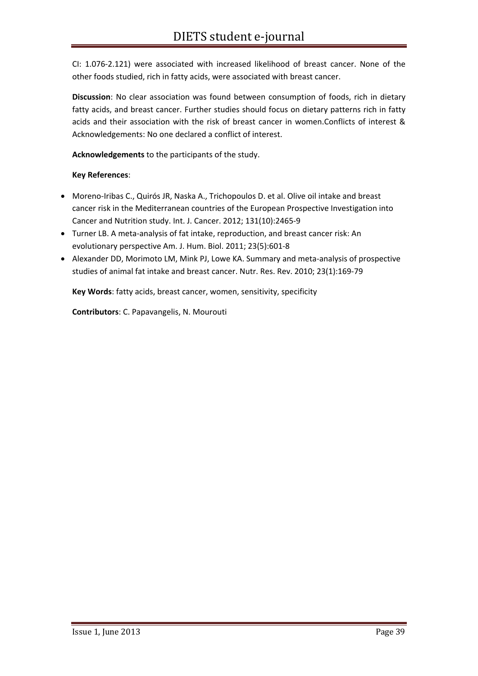CI: 1.076‐2.121) were associated with increased likelihood of breast cancer. None of the other foods studied, rich in fatty acids, were associated with breast cancer.

**Discussion**: No clear association was found between consumption of foods, rich in dietary fatty acids, and breast cancer. Further studies should focus on dietary patterns rich in fatty acids and their association with the risk of breast cancer in women.Conflicts of interest & Acknowledgements: No one declared a conflict of interest.

**Acknowledgements** to the participants of the study.

#### **Key References**:

- Moreno‐Iribas C., Quirós JR, Naska A., Trichopoulos D. et al. Olive oil intake and breast cancer risk in the Mediterranean countries of the European Prospective Investigation into Cancer and Nutrition study. Int. J. Cancer. 2012; 131(10):2465‐9
- Turner LB. A meta‐analysis of fat intake, reproduction, and breast cancer risk: An evolutionary perspective Am. J. Hum. Biol. 2011; 23(5):601‐8
- Alexander DD, Morimoto LM, Mink PJ, Lowe KA. Summary and meta-analysis of prospective studies of animal fat intake and breast cancer. Nutr. Res. Rev. 2010; 23(1):169‐79

**Key Words**: fatty acids, breast cancer, women, sensitivity, specificity

**Contributors**: C. Papavangelis, N. Mourouti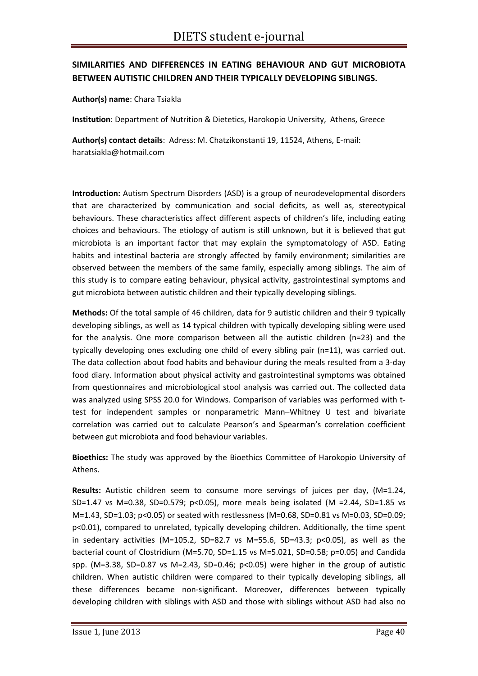# **SIMILARITIES AND DIFFERENCES IN EATING BEHAVIOUR AND GUT MICROBIOTA BETWEEN AUTISTIC CHILDREN AND THEIR TYPICALLY DEVELOPING SIBLINGS.**

**Author(s) name**: Chara Tsiakla

**Institution**: Department of Nutrition & Dietetics, Harokopio University, Athens, Greece

**Author(s) contact details**: Adress: M. Chatzikonstanti 19, 11524, Athens, E‐mail: haratsiakla@hotmail.com

**Introduction:** Autism Spectrum Disorders (ASD) is a group of neurodevelopmental disorders that are characterized by communication and social deficits, as well as, stereotypical behaviours. These characteristics affect different aspects of children's life, including eating choices and behaviours. The etiology of autism is still unknown, but it is believed that gut microbiota is an important factor that may explain the symptomatology of ASD. Eating habits and intestinal bacteria are strongly affected by family environment; similarities are observed between the members of the same family, especially among siblings. The aim of this study is to compare eating behaviour, physical activity, gastrointestinal symptoms and gut microbiota between autistic children and their typically developing siblings.

**Methods:** Of the total sample of 46 children, data for 9 autistic children and their 9 typically developing siblings, as well as 14 typical children with typically developing sibling were used for the analysis. One more comparison between all the autistic children (n=23) and the typically developing ones excluding one child of every sibling pair (n=11), was carried out. The data collection about food habits and behaviour during the meals resulted from a 3‐day food diary. Information about physical activity and gastrointestinal symptoms was obtained from questionnaires and microbiological stool analysis was carried out. The collected data was analyzed using SPSS 20.0 for Windows. Comparison of variables was performed with ttest for independent samples or nonparametric Mann–Whitney U test and bivariate correlation was carried out to calculate Pearson's and Spearman's correlation coefficient between gut microbiota and food behaviour variables.

**Bioethics:** The study was approved by the Bioethics Committee of Harokopio University of Athens.

**Results:** Autistic children seem to consume more servings of juices per day, (M=1.24, SD=1.47 vs M=0.38, SD=0.579; p<0.05), more meals being isolated (M =2.44, SD=1.85 vs M=1.43, SD=1.03; p<0.05) or seated with restlessness (M=0.68, SD=0.81 vs M=0.03, SD=0.09; p<0.01), compared to unrelated, typically developing children. Additionally, the time spent in sedentary activities (M=105.2, SD=82.7 vs M=55.6, SD=43.3; p<0.05), as well as the bacterial count of Clostridium (M=5.70, SD=1.15 vs M=5.021, SD=0.58; p=0.05) and Candida spp. (M=3.38, SD=0.87 vs M=2.43, SD=0.46; p<0.05) were higher in the group of autistic children. When autistic children were compared to their typically developing siblings, all these differences became non‐significant. Moreover, differences between typically developing children with siblings with ASD and those with siblings without ASD had also no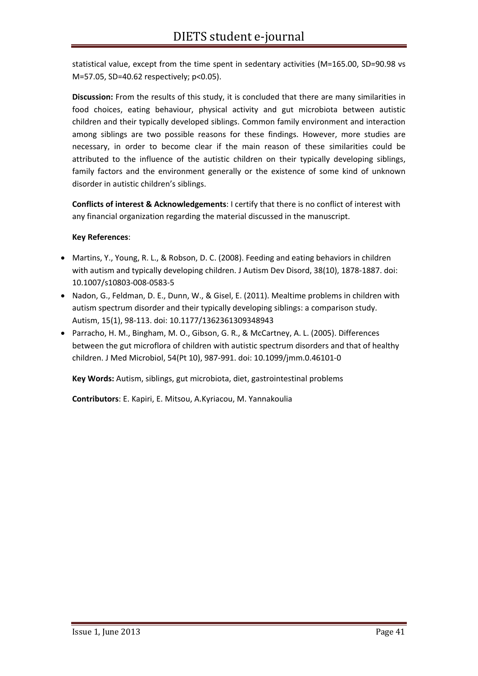statistical value, except from the time spent in sedentary activities (M=165.00, SD=90.98 vs M=57.05, SD=40.62 respectively; p<0.05).

**Discussion:** From the results of this study, it is concluded that there are many similarities in food choices, eating behaviour, physical activity and gut microbiota between autistic children and their typically developed siblings. Common family environment and interaction among siblings are two possible reasons for these findings. However, more studies are necessary, in order to become clear if the main reason of these similarities could be attributed to the influence of the autistic children on their typically developing siblings, family factors and the environment generally or the existence of some kind of unknown disorder in autistic children's siblings.

**Conflicts of interest & Acknowledgements**: I certify that there is no conflict of interest with any financial organization regarding the material discussed in the manuscript.

#### **Key References**:

- Martins, Y., Young, R. L., & Robson, D. C. (2008). Feeding and eating behaviors in children with autism and typically developing children. J Autism Dev Disord, 38(10), 1878-1887. doi: 10.1007/s10803‐008‐0583‐5
- Nadon, G., Feldman, D. E., Dunn, W., & Gisel, E. (2011). Mealtime problems in children with autism spectrum disorder and their typically developing siblings: a comparison study. Autism, 15(1), 98‐113. doi: 10.1177/1362361309348943
- Parracho, H. M., Bingham, M. O., Gibson, G. R., & McCartney, A. L. (2005). Differences between the gut microflora of children with autistic spectrum disorders and that of healthy children. J Med Microbiol, 54(Pt 10), 987‐991. doi: 10.1099/jmm.0.46101‐0

**Key Words:** Autism, siblings, gut microbiota, diet, gastrointestinal problems

**Contributors**: E. Kapiri, E. Mitsou, A.Kyriacou, M. Yannakoulia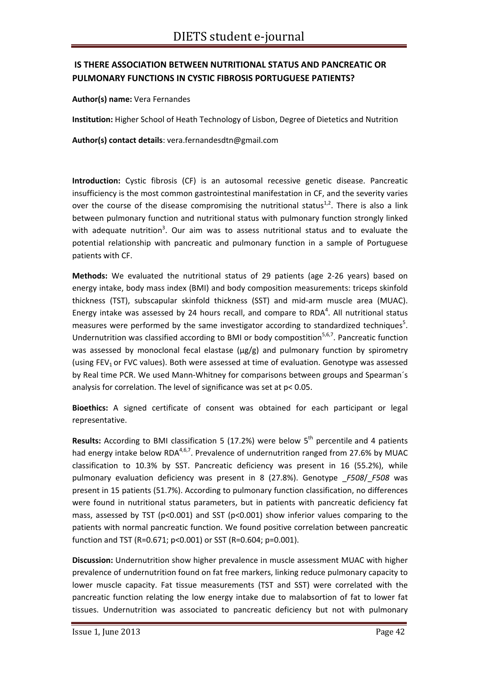# **IS THERE ASSOCIATION BETWEEN NUTRITIONAL STATUS AND PANCREATIC OR PULMONARY FUNCTIONS IN CYSTIC FIBROSIS PORTUGUESE PATIENTS?**

#### **Author(s) name:** Vera Fernandes

**Institution:** Higher School of Heath Technology of Lisbon, Degree of Dietetics and Nutrition

**Author(s) contact details**: vera.fernandesdtn@gmail.com

**Introduction:** Cystic fibrosis (CF) is an autosomal recessive genetic disease. Pancreatic insufficiency is the most common gastrointestinal manifestation in CF, and the severity varies over the course of the disease compromising the nutritional status<sup>1,2</sup>. There is also a link between pulmonary function and nutritional status with pulmonary function strongly linked with adequate nutrition<sup>3</sup>. Our aim was to assess nutritional status and to evaluate the potential relationship with pancreatic and pulmonary function in a sample of Portuguese patients with CF.

**Methods:** We evaluated the nutritional status of 29 patients (age 2‐26 years) based on energy intake, body mass index (BMI) and body composition measurements: triceps skinfold thickness (TST), subscapular skinfold thickness (SST) and mid‐arm muscle area (MUAC). Energy intake was assessed by 24 hours recall, and compare to RDA<sup>4</sup>. All nutritional status measures were performed by the same investigator according to standardized techniques<sup>5</sup>. Undernutrition was classified according to BMI or body compostition<sup>5,6,7</sup>. Pancreatic function was assessed by monoclonal fecal elastase (µg/g) and pulmonary function by spirometry (using FEV<sub>1</sub> or FVC values). Both were assessed at time of evaluation. Genotype was assessed by Real time PCR. We used Mann‐Whitney for comparisons between groups and Spearman´s analysis for correlation. The level of significance was set at p< 0.05.

**Bioethics:** A signed certificate of consent was obtained for each participant or legal representative.

**Results:** According to BMI classification 5 (17.2%) were below 5<sup>th</sup> percentile and 4 patients had energy intake below RDA<sup>4,6,7</sup>. Prevalence of undernutrition ranged from 27.6% by MUAC classification to 10.3% by SST. Pancreatic deficiency was present in 16 (55.2%), while pulmonary evaluation deficiency was present in 8 (27.8%). Genotype \_*F508*/\_*F508* was present in 15 patients (51.7%). According to pulmonary function classification, no differences were found in nutritional status parameters, but in patients with pancreatic deficiency fat mass, assessed by TST (p<0.001) and SST (p<0.001) show inferior values comparing to the patients with normal pancreatic function. We found positive correlation between pancreatic function and TST (R=0.671; p<0.001) or SST (R=0.604; p=0.001).

**Discussion:** Undernutrition show higher prevalence in muscle assessment MUAC with higher prevalence of undernutrition found on fat free markers, linking reduce pulmonary capacity to lower muscle capacity. Fat tissue measurements (TST and SST) were correlated with the pancreatic function relating the low energy intake due to malabsortion of fat to lower fat tissues. Undernutrition was associated to pancreatic deficiency but not with pulmonary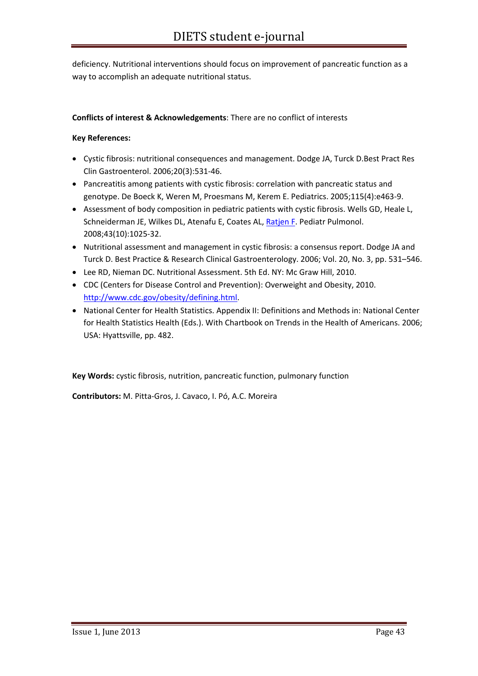deficiency. Nutritional interventions should focus on improvement of pancreatic function as a way to accomplish an adequate nutritional status.

#### **Conflicts of interest & Acknowledgements**: There are no conflict of interests

#### **Key References:**

- Cystic fibrosis: nutritional consequences and management. Dodge JA, Turck D.Best Pract Res Clin Gastroenterol. 2006;20(3):531‐46.
- Pancreatitis among patients with cystic fibrosis: correlation with pancreatic status and genotype. De Boeck K, Weren M, Proesmans M, Kerem E. Pediatrics. 2005;115(4):e463‐9.
- Assessment of body composition in pediatric patients with cystic fibrosis. Wells GD, Heale L, Schneiderman JE, Wilkes DL, Atenafu E, Coates AL, Ratjen F. Pediatr Pulmonol. 2008;43(10):1025‐32.
- Nutritional assessment and management in cystic fibrosis: a consensus report. Dodge JA and Turck D. Best Practice & Research Clinical Gastroenterology. 2006; Vol. 20, No. 3, pp. 531–546.
- Lee RD, Nieman DC. Nutritional Assessment. 5th Ed. NY: Mc Graw Hill, 2010.
- CDC (Centers for Disease Control and Prevention): Overweight and Obesity, 2010. http://www.cdc.gov/obesity/defining.html.
- National Center for Health Statistics. Appendix II: Definitions and Methods in: National Center for Health Statistics Health (Eds.). With Chartbook on Trends in the Health of Americans. 2006; USA: Hyattsville, pp. 482.

**Key Words:** cystic fibrosis, nutrition, pancreatic function, pulmonary function

**Contributors:** M. Pitta‐Gros, J. Cavaco, I. Pó, A.C. Moreira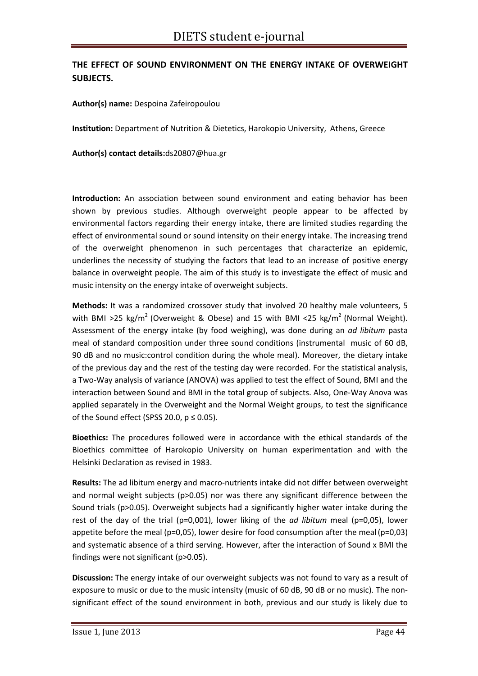# **THE EFFECT OF SOUND ENVIRONMENT ON THE ENERGY INTAKE OF OVERWEIGHT SUBJECTS.**

#### **Author(s) name:** Despoina Zafeiropoulou

**Institution:** Department of Nutrition & Dietetics, Harokopio University, Athens, Greece

**Author(s) contact details:**ds20807@hua.gr

**Introduction:** An association between sound environment and eating behavior has been shown by previous studies. Although overweight people appear to be affected by environmental factors regarding their energy intake, there are limited studies regarding the effect of environmental sound or sound intensity on their energy intake. The increasing trend of the overweight phenomenon in such percentages that characterize an epidemic, underlines the necessity of studying the factors that lead to an increase of positive energy balance in overweight people. The aim of this study is to investigate the effect of music and music intensity on the energy intake of overweight subjects.

**Methods:** It was a randomized crossover study that involved 20 healthy male volunteers, 5 with BMI >25 kg/m<sup>2</sup> (Overweight & Obese) and 15 with BMI <25 kg/m<sup>2</sup> (Normal Weight). Assessment of the energy intake (by food weighing), was done during an *ad libitum* pasta meal of standard composition under three sound conditions (instrumental music of 60 dB, 90 dB and no music:control condition during the whole meal). Moreover, the dietary intake of the previous day and the rest of the testing day were recorded. For the statistical analysis, a Two‐Way analysis of variance (ANOVA) was applied to test the effect of Sound, BMI and the interaction between Sound and BMI in the total group of subjects. Also, One‐Way Anova was applied separately in the Overweight and the Normal Weight groups, to test the significance of the Sound effect (SPSS 20.0,  $p \le 0.05$ ).

**Bioethics:** The procedures followed were in accordance with the ethical standards of the Bioethics committee of Harokopio University on human experimentation and with the Helsinki Declaration as revised in 1983.

**Results:** The ad libitum energy and macro‐nutrients intake did not differ between overweight and normal weight subjects (p>0.05) nor was there any significant difference between the Sound trials (p>0.05). Overweight subjects had a significantly higher water intake during the rest of the day of the trial (p=0,001), lower liking of the *ad libitum* meal (p=0,05), lower appetite before the meal (p=0,05), lower desire for food consumption after the meal (p=0,03) and systematic absence of a third serving. However, after the interaction of Sound x BMI the findings were not significant (p>0.05).

**Discussion:** The energy intake of our overweight subjects was not found to vary as a result of exposure to music or due to the music intensity (music of 60 dB, 90 dB or no music). The non‐ significant effect of the sound environment in both, previous and our study is likely due to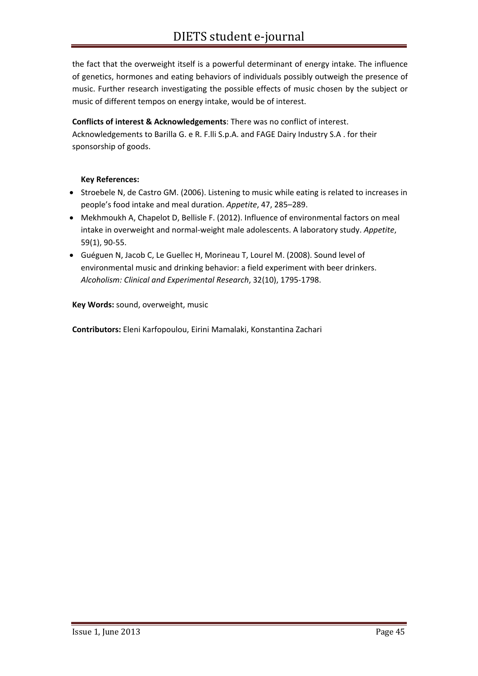the fact that the overweight itself is a powerful determinant of energy intake. The influence of genetics, hormones and eating behaviors of individuals possibly outweigh the presence of music. Further research investigating the possible effects of music chosen by the subject or music of different tempos on energy intake, would be of interest.

**Conflicts of interest & Acknowledgements**: There was no conflict of interest. Acknowledgements to Barilla G. e R. F.lli S.p.A. and FAGE Dairy Industry S.A . for their sponsorship of goods.

#### **Key References:**

- Stroebele N, de Castro GM. (2006). Listening to music while eating is related to increases in people's food intake and meal duration. *Appetite*, 47, 285–289.
- Mekhmoukh A, Chapelot D, Bellisle F. (2012). Influence of environmental factors on meal intake in overweight and normal‐weight male adolescents. A laboratory study. *Appetite*, 59(1), 90‐55.
- Guéguen N, Jacob C, Le Guellec H, Morineau T, Lourel M. (2008). Sound level of environmental music and drinking behavior: a field experiment with beer drinkers. *Alcoholism: Clinical and Experimental Research*, 32(10), 1795‐1798.

**Key Words:** sound, overweight, music

**Contributors:** Eleni Karfopoulou, Eirini Mamalaki, Konstantina Zachari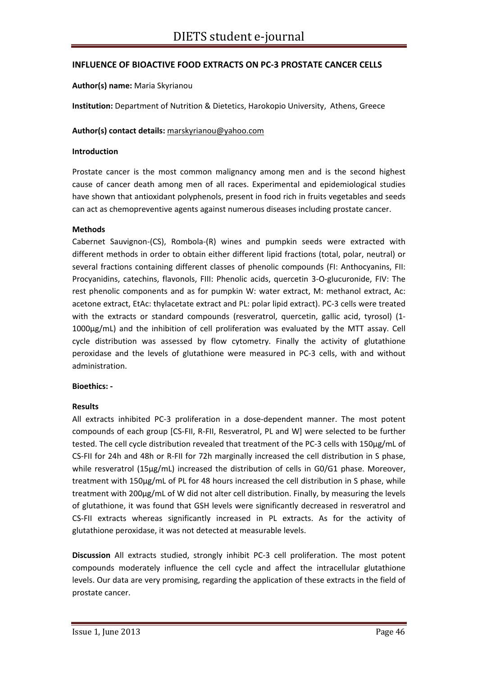#### **INFLUENCE OF BIOACTIVE FOOD EXTRACTS ON PC‐3 PROSTATE CANCER CELLS**

#### **Author(s) name:** Maria Skyrianou

**Institution:** Department of Nutrition & Dietetics, Harokopio University, Athens, Greece

#### **Author(s) contact details:** marskyrianou@yahoo.com

#### **Introduction**

Prostate cancer is the most common malignancy among men and is the second highest cause of cancer death among men of all races. Experimental and epidemiological studies have shown that antioxidant polyphenols, present in food rich in fruits vegetables and seeds can act as chemopreventive agents against numerous diseases including prostate cancer.

#### **Methods**

Cabernet Sauvignon‐(CS), Rombola‐(R) wines and pumpkin seeds were extracted with different methods in order to obtain either different lipid fractions (total, polar, neutral) or several fractions containing different classes of phenolic compounds (FI: Anthocyanins, FII: Procyanidins, catechins, flavonols, FIII: Phenolic acids, quercetin 3‐O‐glucuronide, FIV: The rest phenolic components and as for pumpkin W: water extract, M: methanol extract, Ac: acetone extract, EtAc: thylacetate extract and PL: polar lipid extract). PC‐3 cells were treated with the extracts or standard compounds (resveratrol, quercetin, gallic acid, tyrosol) (1-1000μg/mL) and the inhibition of cell proliferation was evaluated by the MTT assay. Cell cycle distribution was assessed by flow cytometry. Finally the activity of glutathione peroxidase and the levels of glutathione were measured in PC‐3 cells, with and without administration.

#### **Bioethics: ‐**

#### **Results**

All extracts inhibited PC‐3 proliferation in a dose‐dependent manner. The most potent compounds of each group [CS‐FII, R‐FII, Resveratrol, PL and W] were selected to be further tested. The cell cycle distribution revealed that treatment of the PC‐3 cells with 150μg/mL of CS‐FII for 24h and 48h or R‐FII for 72h marginally increased the cell distribution in S phase, while resveratrol (15μg/mL) increased the distribution of cells in G0/G1 phase. Moreover, treatment with 150μg/mL of PL for 48 hours increased the cell distribution in S phase, while treatment with 200μg/mL of W did not alter cell distribution. Finally, by measuring the levels of glutathione, it was found that GSH levels were significantly decreased in resveratrol and CS‐FII extracts whereas significantly increased in PL extracts. As for the activity of glutathione peroxidase, it was not detected at measurable levels.

**Discussion** All extracts studied, strongly inhibit PC‐3 cell proliferation. The most potent compounds moderately influence the cell cycle and affect the intracellular glutathione levels. Our data are very promising, regarding the application of these extracts in the field of prostate cancer.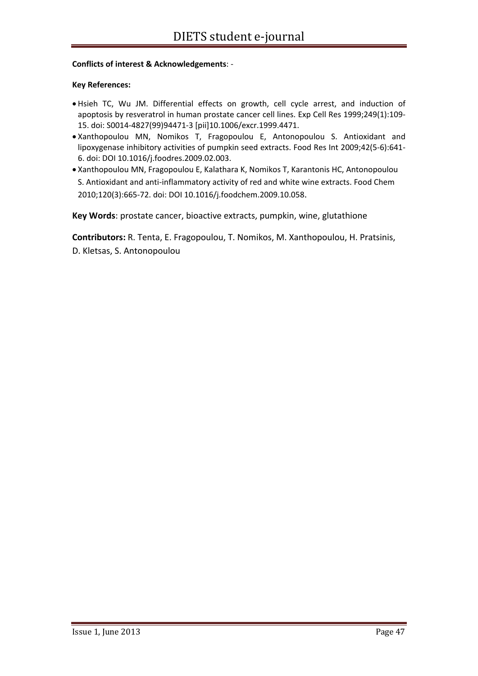#### **Conflicts of interest & Acknowledgements**: ‐

#### **Key References:**

- Hsieh TC, Wu JM. Differential effects on growth, cell cycle arrest, and induction of apoptosis by resveratrol in human prostate cancer cell lines. Exp Cell Res 1999;249(1):109‐ 15. doi: S0014‐4827(99)94471‐3 [pii]10.1006/excr.1999.4471.
- Xanthopoulou MN, Nomikos T, Fragopoulou E, Antonopoulou S. Antioxidant and lipoxygenase inhibitory activities of pumpkin seed extracts. Food Res Int 2009;42(5‐6):641‐ 6. doi: DOI 10.1016/j.foodres.2009.02.003.
- Xanthopoulou MN, Fragopoulou E, Kalathara K, Nomikos T, Karantonis HC, Antonopoulou S. Antioxidant and anti‐inflammatory activity of red and white wine extracts. Food Chem 2010;120(3):665‐72. doi: DOI 10.1016/j.foodchem.2009.10.058.

**Key Words**: prostate cancer, bioactive extracts, pumpkin, wine, glutathione

**Contributors:** R. Tenta, E. Fragopoulou, T. Nomikos, M. Xanthopoulou, H. Pratsinis, D. Kletsas, S. Antonopoulou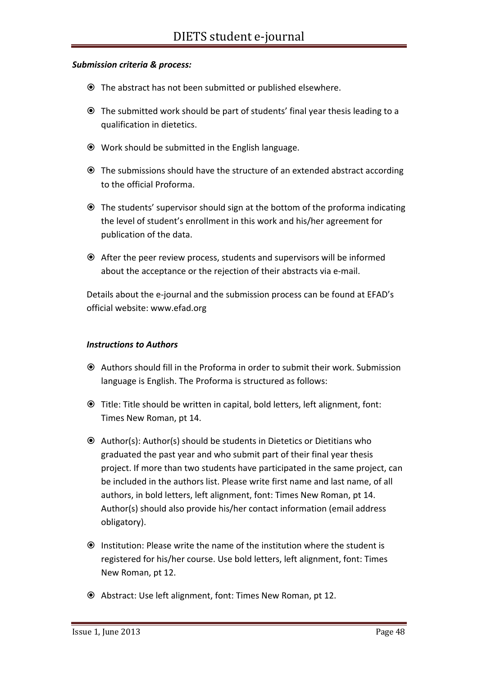#### *Submission criteria & process:*

- The abstract has not been submitted or published elsewhere.
- The submitted work should be part of students' final year thesis leading to a qualification in dietetics.
- Work should be submitted in the English language.
- The submissions should have the structure of an extended abstract according to the official Proforma.
- The students' supervisor should sign at the bottom of the proforma indicating the level of student's enrollment in this work and his/her agreement for publication of the data.
- After the peer review process, students and supervisors will be informed about the acceptance or the rejection of their abstracts via e‐mail.

Details about the e-journal and the submission process can be found at EFAD's official website: www.efad.org

#### *Instructions to Authors*

- Authors should fill in the Proforma in order to submit their work. Submission language is English. The Proforma is structured as follows:
- Title: Title should be written in capital, bold letters, left alignment, font: Times New Roman, pt 14.
- $\odot$  Author(s): Author(s) should be students in Dietetics or Dietitians who graduated the past year and who submit part of their final year thesis project. If more than two students have participated in the same project, can be included in the authors list. Please write first name and last name, of all authors, in bold letters, left alignment, font: Times New Roman, pt 14. Author(s) should also provide his/her contact information (email address obligatory).
- Institution: Please write the name of the institution where the student is registered for his/her course. Use bold letters, left alignment, font: Times New Roman, pt 12.
- Abstract: Use left alignment, font: Times New Roman, pt 12.